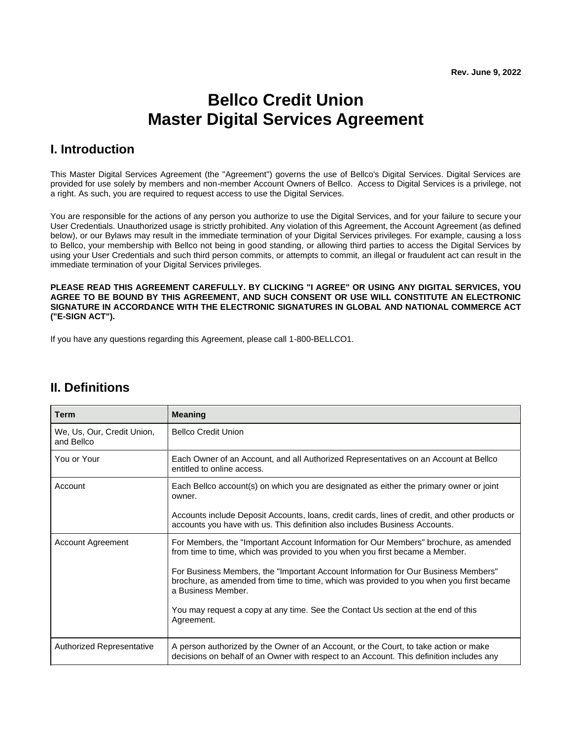# **Bellco Credit Union Master Digital Services Agreement**

### **I. Introduction**

This Master Digital Services Agreement (the "Agreement") governs the use of Bellco's Digital Services. Digital Services are provided for use solely by members and non-member Account Owners of Bellco. Access to Digital Services is a privilege, not a right. As such, you are required to request access to use the Digital Services.

You are responsible for the actions of any person you authorize to use the Digital Services, and for your failure to secure your User Credentials. Unauthorized usage is strictly prohibited. Any violation of this Agreement, the Account Agreement (as defined below), or our Bylaws may result in the immediate termination of your Digital Services privileges. For example, causing a loss to Bellco, your membership with Bellco not being in good standing, or allowing third parties to access the Digital Services by using your User Credentials and such third person commits, or attempts to commit, an illegal or fraudulent act can result in the immediate termination of your Digital Services privileges.

**PLEASE READ THIS AGREEMENT CAREFULLY. BY CLICKING "I AGREE" OR USING ANY DIGITAL SERVICES, YOU AGREE TO BE BOUND BY THIS AGREEMENT, AND SUCH CONSENT OR USE WILL CONSTITUTE AN ELECTRONIC SIGNATURE IN ACCORDANCE WITH THE ELECTRONIC SIGNATURES IN GLOBAL AND NATIONAL COMMERCE ACT ("E-SIGN ACT").**

If you have any questions regarding this Agreement, please call 1-800-BELLCO1.

| <b>Term</b>                              | <b>Meaning</b>                                                                                                                                                                                      |
|------------------------------------------|-----------------------------------------------------------------------------------------------------------------------------------------------------------------------------------------------------|
| We, Us, Our, Credit Union,<br>and Bellco | <b>Bellco Credit Union</b>                                                                                                                                                                          |
| You or Your                              | Each Owner of an Account, and all Authorized Representatives on an Account at Bellco<br>entitled to online access.                                                                                  |
| Account                                  | Each Bellco account(s) on which you are designated as either the primary owner or joint<br>owner.                                                                                                   |
|                                          | Accounts include Deposit Accounts, Ioans, credit cards, lines of credit, and other products or<br>accounts you have with us. This definition also includes Business Accounts.                       |
| <b>Account Agreement</b>                 | For Members, the "Important Account Information for Our Members" brochure, as amended<br>from time to time, which was provided to you when you first became a Member.                               |
|                                          | For Business Members, the "Important Account Information for Our Business Members"<br>brochure, as amended from time to time, which was provided to you when you first became<br>a Business Member. |
|                                          | You may request a copy at any time. See the Contact Us section at the end of this<br>Agreement.                                                                                                     |
| <b>Authorized Representative</b>         | A person authorized by the Owner of an Account, or the Court, to take action or make<br>decisions on behalf of an Owner with respect to an Account. This definition includes any                    |

### **II. Definitions**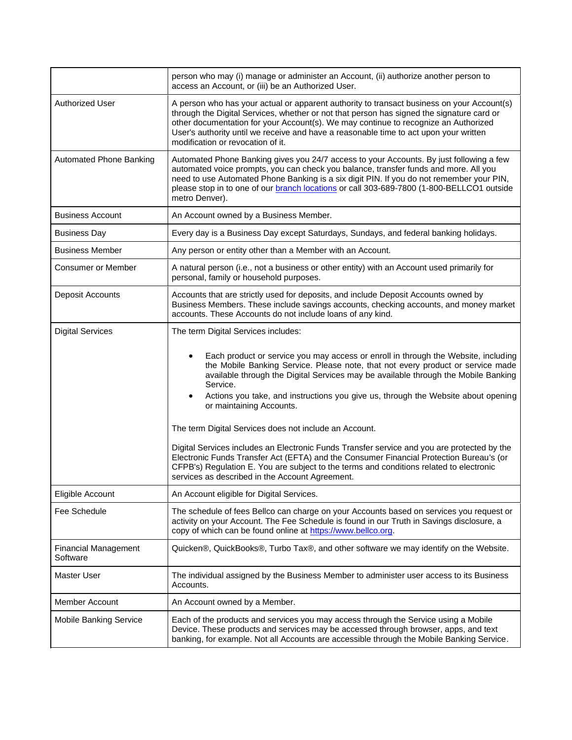|                                         | person who may (i) manage or administer an Account, (ii) authorize another person to<br>access an Account, or (iii) be an Authorized User.                                                                                                                                                                                                                                                                                                                                                                                                                                                                                                                                                                                                                                                                                             |
|-----------------------------------------|----------------------------------------------------------------------------------------------------------------------------------------------------------------------------------------------------------------------------------------------------------------------------------------------------------------------------------------------------------------------------------------------------------------------------------------------------------------------------------------------------------------------------------------------------------------------------------------------------------------------------------------------------------------------------------------------------------------------------------------------------------------------------------------------------------------------------------------|
| <b>Authorized User</b>                  | A person who has your actual or apparent authority to transact business on your Account(s)<br>through the Digital Services, whether or not that person has signed the signature card or<br>other documentation for your Account(s). We may continue to recognize an Authorized<br>User's authority until we receive and have a reasonable time to act upon your written<br>modification or revocation of it.                                                                                                                                                                                                                                                                                                                                                                                                                           |
| Automated Phone Banking                 | Automated Phone Banking gives you 24/7 access to your Accounts. By just following a few<br>automated voice prompts, you can check you balance, transfer funds and more. All you<br>need to use Automated Phone Banking is a six digit PIN. If you do not remember your PIN,<br>please stop in to one of our branch locations or call 303-689-7800 (1-800-BELLCO1 outside<br>metro Denver).                                                                                                                                                                                                                                                                                                                                                                                                                                             |
| <b>Business Account</b>                 | An Account owned by a Business Member.                                                                                                                                                                                                                                                                                                                                                                                                                                                                                                                                                                                                                                                                                                                                                                                                 |
| <b>Business Day</b>                     | Every day is a Business Day except Saturdays, Sundays, and federal banking holidays.                                                                                                                                                                                                                                                                                                                                                                                                                                                                                                                                                                                                                                                                                                                                                   |
| <b>Business Member</b>                  | Any person or entity other than a Member with an Account.                                                                                                                                                                                                                                                                                                                                                                                                                                                                                                                                                                                                                                                                                                                                                                              |
| <b>Consumer or Member</b>               | A natural person (i.e., not a business or other entity) with an Account used primarily for<br>personal, family or household purposes.                                                                                                                                                                                                                                                                                                                                                                                                                                                                                                                                                                                                                                                                                                  |
| <b>Deposit Accounts</b>                 | Accounts that are strictly used for deposits, and include Deposit Accounts owned by<br>Business Members. These include savings accounts, checking accounts, and money market<br>accounts. These Accounts do not include loans of any kind.                                                                                                                                                                                                                                                                                                                                                                                                                                                                                                                                                                                             |
| <b>Digital Services</b>                 | The term Digital Services includes:<br>Each product or service you may access or enroll in through the Website, including<br>the Mobile Banking Service. Please note, that not every product or service made<br>available through the Digital Services may be available through the Mobile Banking<br>Service.<br>Actions you take, and instructions you give us, through the Website about opening<br>٠<br>or maintaining Accounts.<br>The term Digital Services does not include an Account.<br>Digital Services includes an Electronic Funds Transfer service and you are protected by the<br>Electronic Funds Transfer Act (EFTA) and the Consumer Financial Protection Bureau's (or<br>CFPB's) Regulation E. You are subject to the terms and conditions related to electronic<br>services as described in the Account Agreement. |
| Eligible Account                        | An Account eligible for Digital Services.                                                                                                                                                                                                                                                                                                                                                                                                                                                                                                                                                                                                                                                                                                                                                                                              |
| Fee Schedule                            | The schedule of fees Bellco can charge on your Accounts based on services you request or<br>activity on your Account. The Fee Schedule is found in our Truth in Savings disclosure, a<br>copy of which can be found online at https://www.bellco.org.                                                                                                                                                                                                                                                                                                                                                                                                                                                                                                                                                                                  |
| <b>Financial Management</b><br>Software | Quicken®, QuickBooks®, Turbo Tax®, and other software we may identify on the Website.                                                                                                                                                                                                                                                                                                                                                                                                                                                                                                                                                                                                                                                                                                                                                  |
| Master User                             | The individual assigned by the Business Member to administer user access to its Business<br>Accounts.                                                                                                                                                                                                                                                                                                                                                                                                                                                                                                                                                                                                                                                                                                                                  |
| Member Account                          | An Account owned by a Member.                                                                                                                                                                                                                                                                                                                                                                                                                                                                                                                                                                                                                                                                                                                                                                                                          |
| <b>Mobile Banking Service</b>           | Each of the products and services you may access through the Service using a Mobile<br>Device. These products and services may be accessed through browser, apps, and text<br>banking, for example. Not all Accounts are accessible through the Mobile Banking Service.                                                                                                                                                                                                                                                                                                                                                                                                                                                                                                                                                                |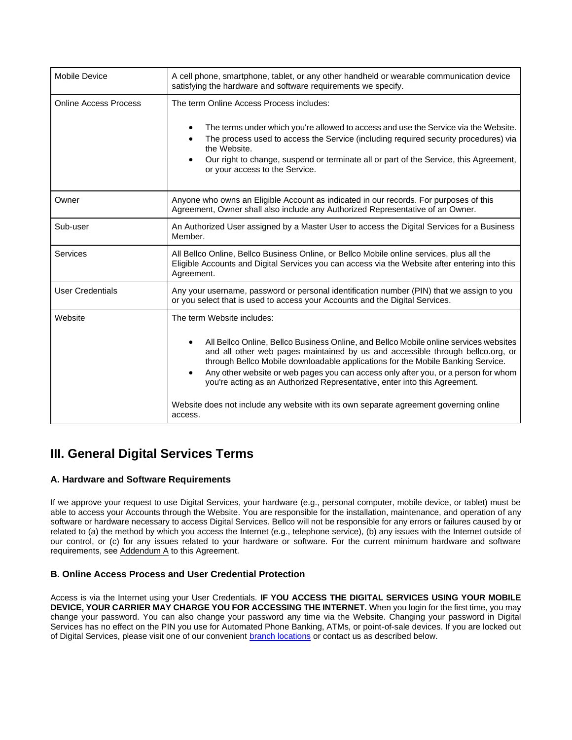| <b>Mobile Device</b>         | A cell phone, smartphone, tablet, or any other handheld or wearable communication device<br>satisfying the hardware and software requirements we specify.                                                                                                                                                                                                                                                                                                                                                                                                                                 |
|------------------------------|-------------------------------------------------------------------------------------------------------------------------------------------------------------------------------------------------------------------------------------------------------------------------------------------------------------------------------------------------------------------------------------------------------------------------------------------------------------------------------------------------------------------------------------------------------------------------------------------|
| <b>Online Access Process</b> | The term Online Access Process includes:<br>The terms under which you're allowed to access and use the Service via the Website.<br>The process used to access the Service (including required security procedures) via<br>the Website.<br>Our right to change, suspend or terminate all or part of the Service, this Agreement,<br>or your access to the Service.                                                                                                                                                                                                                         |
| Owner                        | Anyone who owns an Eligible Account as indicated in our records. For purposes of this<br>Agreement, Owner shall also include any Authorized Representative of an Owner.                                                                                                                                                                                                                                                                                                                                                                                                                   |
| Sub-user                     | An Authorized User assigned by a Master User to access the Digital Services for a Business<br>Member.                                                                                                                                                                                                                                                                                                                                                                                                                                                                                     |
| Services                     | All Bellco Online, Bellco Business Online, or Bellco Mobile online services, plus all the<br>Eligible Accounts and Digital Services you can access via the Website after entering into this<br>Agreement.                                                                                                                                                                                                                                                                                                                                                                                 |
| <b>User Credentials</b>      | Any your username, password or personal identification number (PIN) that we assign to you<br>or you select that is used to access your Accounts and the Digital Services.                                                                                                                                                                                                                                                                                                                                                                                                                 |
| Website                      | The term Website includes:<br>All Bellco Online, Bellco Business Online, and Bellco Mobile online services websites<br>$\bullet$<br>and all other web pages maintained by us and accessible through bellco.org, or<br>through Bellco Mobile downloadable applications for the Mobile Banking Service.<br>Any other website or web pages you can access only after you, or a person for whom<br>$\bullet$<br>you're acting as an Authorized Representative, enter into this Agreement.<br>Website does not include any website with its own separate agreement governing online<br>access. |

# **III. General Digital Services Terms**

### **A. Hardware and Software Requirements**

If we approve your request to use Digital Services, your hardware (e.g., personal computer, mobile device, or tablet) must be able to access your Accounts through the Website. You are responsible for the installation, maintenance, and operation of any software or hardware necessary to access Digital Services. Bellco will not be responsible for any errors or failures caused by or related to (a) the method by which you access the Internet (e.g., telephone service), (b) any issues with the Internet outside of our control, or (c) for any issues related to your hardware or software. For the current minimum hardware and software requirements, see Addendum A to this Agreement.

### **B. Online Access Process and User Credential Protection**

Access is via the Internet using your User Credentials. **IF YOU ACCESS THE DIGITAL SERVICES USING YOUR MOBILE DEVICE, YOUR CARRIER MAY CHARGE YOU FOR ACCESSING THE INTERNET.** When you login for the first time, you may change your password. You can also change your password any time via the Website. Changing your password in Digital Services has no effect on the PIN you use for Automated Phone Banking, ATMs, or point-of-sale devices. If you are locked out of Digital Services, please visit one of our convenient [branch locations](https://www.bellco.org/bellco-branches-and-atms.aspx) or contact us as described below.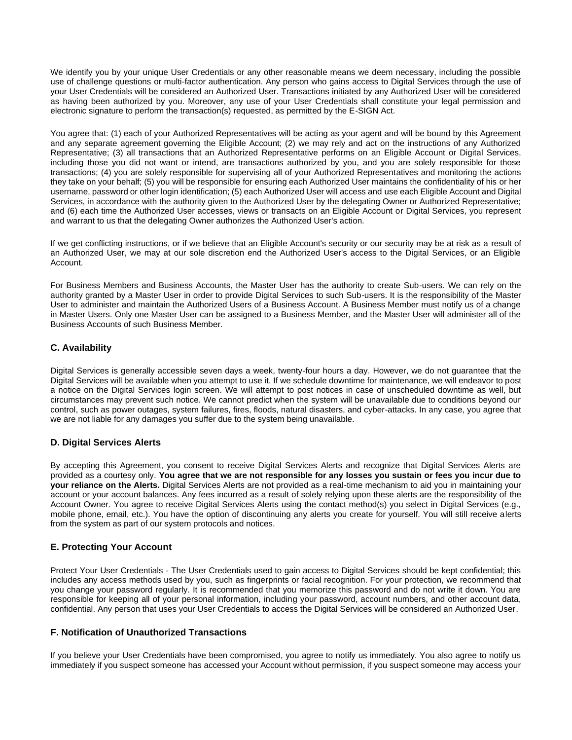We identify you by your unique User Credentials or any other reasonable means we deem necessary, including the possible use of challenge questions or multi-factor authentication. Any person who gains access to Digital Services through the use of your User Credentials will be considered an Authorized User. Transactions initiated by any Authorized User will be considered as having been authorized by you. Moreover, any use of your User Credentials shall constitute your legal permission and electronic signature to perform the transaction(s) requested, as permitted by the E-SIGN Act.

You agree that: (1) each of your Authorized Representatives will be acting as your agent and will be bound by this Agreement and any separate agreement governing the Eligible Account; (2) we may rely and act on the instructions of any Authorized Representative; (3) all transactions that an Authorized Representative performs on an Eligible Account or Digital Services, including those you did not want or intend, are transactions authorized by you, and you are solely responsible for those transactions; (4) you are solely responsible for supervising all of your Authorized Representatives and monitoring the actions they take on your behalf; (5) you will be responsible for ensuring each Authorized User maintains the confidentiality of his or her username, password or other login identification; (5) each Authorized User will access and use each Eligible Account and Digital Services, in accordance with the authority given to the Authorized User by the delegating Owner or Authorized Representative; and (6) each time the Authorized User accesses, views or transacts on an Eligible Account or Digital Services, you represent and warrant to us that the delegating Owner authorizes the Authorized User's action.

If we get conflicting instructions, or if we believe that an Eligible Account's security or our security may be at risk as a result of an Authorized User, we may at our sole discretion end the Authorized User's access to the Digital Services, or an Eligible Account.

For Business Members and Business Accounts, the Master User has the authority to create Sub-users. We can rely on the authority granted by a Master User in order to provide Digital Services to such Sub-users. It is the responsibility of the Master User to administer and maintain the Authorized Users of a Business Account. A Business Member must notify us of a change in Master Users. Only one Master User can be assigned to a Business Member, and the Master User will administer all of the Business Accounts of such Business Member.

### **C. Availability**

Digital Services is generally accessible seven days a week, twenty-four hours a day. However, we do not guarantee that the Digital Services will be available when you attempt to use it. If we schedule downtime for maintenance, we will endeavor to post a notice on the Digital Services login screen. We will attempt to post notices in case of unscheduled downtime as well, but circumstances may prevent such notice. We cannot predict when the system will be unavailable due to conditions beyond our control, such as power outages, system failures, fires, floods, natural disasters, and cyber-attacks. In any case, you agree that we are not liable for any damages you suffer due to the system being unavailable.

### **D. Digital Services Alerts**

By accepting this Agreement, you consent to receive Digital Services Alerts and recognize that Digital Services Alerts are provided as a courtesy only. **You agree that we are not responsible for any losses you sustain or fees you incur due to your reliance on the Alerts.** Digital Services Alerts are not provided as a real-time mechanism to aid you in maintaining your account or your account balances. Any fees incurred as a result of solely relying upon these alerts are the responsibility of the Account Owner. You agree to receive Digital Services Alerts using the contact method(s) you select in Digital Services (e.g., mobile phone, email, etc.). You have the option of discontinuing any alerts you create for yourself. You will still receive alerts from the system as part of our system protocols and notices.

### **E. Protecting Your Account**

Protect Your User Credentials - The User Credentials used to gain access to Digital Services should be kept confidential; this includes any access methods used by you, such as fingerprints or facial recognition. For your protection, we recommend that you change your password regularly. It is recommended that you memorize this password and do not write it down. You are responsible for keeping all of your personal information, including your password, account numbers, and other account data, confidential. Any person that uses your User Credentials to access the Digital Services will be considered an Authorized User.

### **F. Notification of Unauthorized Transactions**

If you believe your User Credentials have been compromised, you agree to notify us immediately. You also agree to notify us immediately if you suspect someone has accessed your Account without permission, if you suspect someone may access your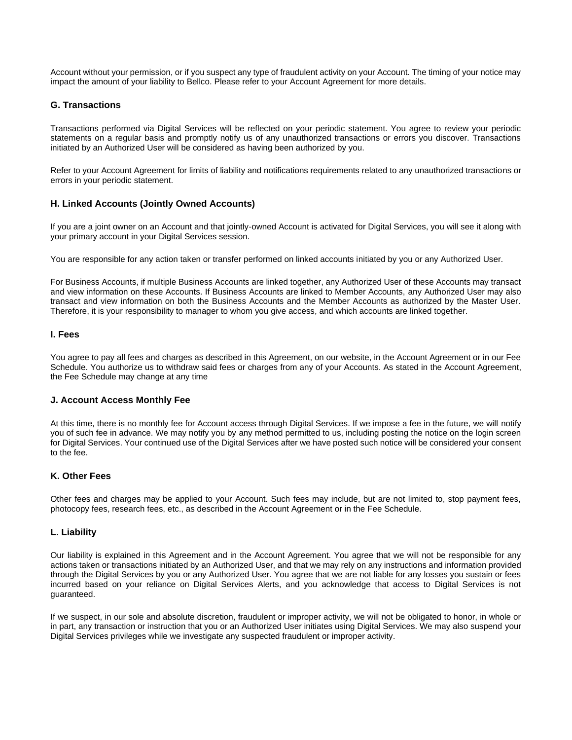Account without your permission, or if you suspect any type of fraudulent activity on your Account. The timing of your notice may impact the amount of your liability to Bellco. Please refer to your Account Agreement for more details.

### **G. Transactions**

Transactions performed via Digital Services will be reflected on your periodic statement. You agree to review your periodic statements on a regular basis and promptly notify us of any unauthorized transactions or errors you discover. Transactions initiated by an Authorized User will be considered as having been authorized by you.

Refer to your Account Agreement for limits of liability and notifications requirements related to any unauthorized transactions or errors in your periodic statement.

### **H. Linked Accounts (Jointly Owned Accounts)**

If you are a joint owner on an Account and that jointly-owned Account is activated for Digital Services, you will see it along with your primary account in your Digital Services session.

You are responsible for any action taken or transfer performed on linked accounts initiated by you or any Authorized User.

For Business Accounts, if multiple Business Accounts are linked together, any Authorized User of these Accounts may transact and view information on these Accounts. If Business Accounts are linked to Member Accounts, any Authorized User may also transact and view information on both the Business Accounts and the Member Accounts as authorized by the Master User. Therefore, it is your responsibility to manager to whom you give access, and which accounts are linked together.

### **I. Fees**

You agree to pay all fees and charges as described in this Agreement, on our website, in the Account Agreement or in our Fee Schedule. You authorize us to withdraw said fees or charges from any of your Accounts. As stated in the Account Agreement, the Fee Schedule may change at any time

### **J. Account Access Monthly Fee**

At this time, there is no monthly fee for Account access through Digital Services. If we impose a fee in the future, we will notify you of such fee in advance. We may notify you by any method permitted to us, including posting the notice on the login screen for Digital Services. Your continued use of the Digital Services after we have posted such notice will be considered your consent to the fee.

### **K. Other Fees**

Other fees and charges may be applied to your Account. Such fees may include, but are not limited to, stop payment fees, photocopy fees, research fees, etc., as described in the Account Agreement or in the Fee Schedule.

### **L. Liability**

Our liability is explained in this Agreement and in the Account Agreement. You agree that we will not be responsible for any actions taken or transactions initiated by an Authorized User, and that we may rely on any instructions and information provided through the Digital Services by you or any Authorized User. You agree that we are not liable for any losses you sustain or fees incurred based on your reliance on Digital Services Alerts, and you acknowledge that access to Digital Services is not guaranteed.

If we suspect, in our sole and absolute discretion, fraudulent or improper activity, we will not be obligated to honor, in whole or in part, any transaction or instruction that you or an Authorized User initiates using Digital Services. We may also suspend your Digital Services privileges while we investigate any suspected fraudulent or improper activity.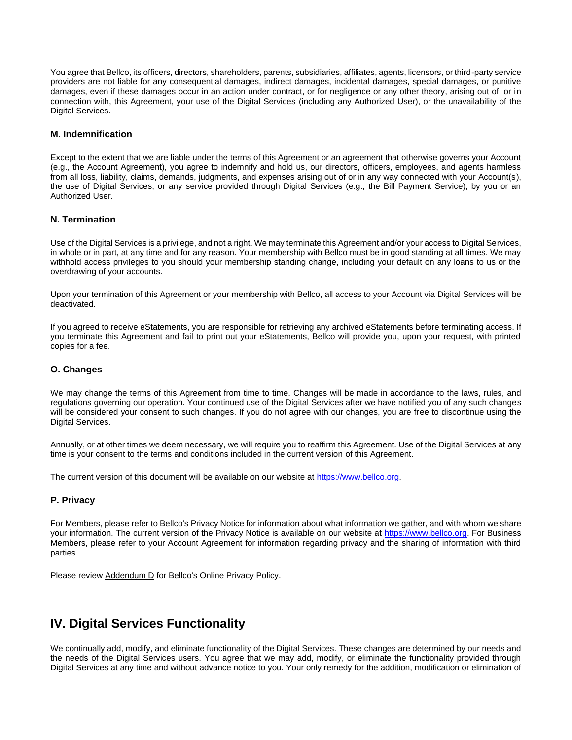You agree that Bellco, its officers, directors, shareholders, parents, subsidiaries, affiliates, agents, licensors, or third-party service providers are not liable for any consequential damages, indirect damages, incidental damages, special damages, or punitive damages, even if these damages occur in an action under contract, or for negligence or any other theory, arising out of, or in connection with, this Agreement, your use of the Digital Services (including any Authorized User), or the unavailability of the Digital Services.

### **M. Indemnification**

Except to the extent that we are liable under the terms of this Agreement or an agreement that otherwise governs your Account (e.g., the Account Agreement), you agree to indemnify and hold us, our directors, officers, employees, and agents harmless from all loss, liability, claims, demands, judgments, and expenses arising out of or in any way connected with your Account(s), the use of Digital Services, or any service provided through Digital Services (e.g., the Bill Payment Service), by you or an Authorized User.

### **N. Termination**

Use of the Digital Services is a privilege, and not a right. We may terminate this Agreement and/or your access to Digital Services, in whole or in part, at any time and for any reason. Your membership with Bellco must be in good standing at all times. We may withhold access privileges to you should your membership standing change, including your default on any loans to us or the overdrawing of your accounts.

Upon your termination of this Agreement or your membership with Bellco, all access to your Account via Digital Services will be deactivated.

If you agreed to receive eStatements, you are responsible for retrieving any archived eStatements before terminating access. If you terminate this Agreement and fail to print out your eStatements, Bellco will provide you, upon your request, with printed copies for a fee.

### **O. Changes**

We may change the terms of this Agreement from time to time. Changes will be made in accordance to the laws, rules, and regulations governing our operation. Your continued use of the Digital Services after we have notified you of any such changes will be considered your consent to such changes. If you do not agree with our changes, you are free to discontinue using the Digital Services.

Annually, or at other times we deem necessary, we will require you to reaffirm this Agreement. Use of the Digital Services at any time is your consent to the terms and conditions included in the current version of this Agreement.

The current version of this document will be available on our website at [https://www.bellco.org.](https://www.bellco.org/)

### **P. Privacy**

For Members, please refer to Bellco's Privacy Notice for information about what information we gather, and with whom we share your information. The current version of the Privacy Notice is available on our website at [https://www.bellco.org.](https://www.bellco.org/) For Business Members, please refer to your Account Agreement for information regarding privacy and the sharing of information with third parties.

Please review Addendum D for Bellco's Online Privacy Policy.

### **IV. Digital Services Functionality**

We continually add, modify, and eliminate functionality of the Digital Services. These changes are determined by our needs and the needs of the Digital Services users. You agree that we may add, modify, or eliminate the functionality provided through Digital Services at any time and without advance notice to you. Your only remedy for the addition, modification or elimination of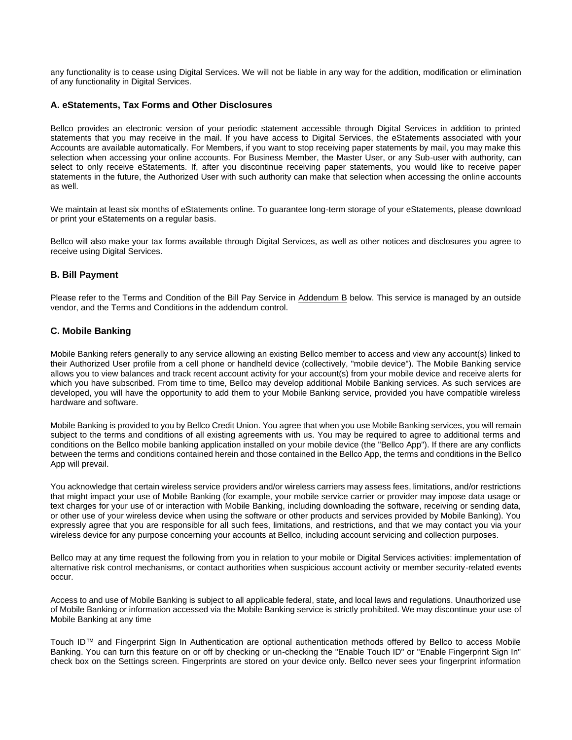any functionality is to cease using Digital Services. We will not be liable in any way for the addition, modification or elimination of any functionality in Digital Services.

### **A. eStatements, Tax Forms and Other Disclosures**

Bellco provides an electronic version of your periodic statement accessible through Digital Services in addition to printed statements that you may receive in the mail. If you have access to Digital Services, the eStatements associated with your Accounts are available automatically. For Members, if you want to stop receiving paper statements by mail, you may make this selection when accessing your online accounts. For Business Member, the Master User, or any Sub-user with authority, can select to only receive eStatements. If, after you discontinue receiving paper statements, you would like to receive paper statements in the future, the Authorized User with such authority can make that selection when accessing the online accounts as well.

We maintain at least six months of eStatements online. To guarantee long-term storage of your eStatements, please download or print your eStatements on a regular basis.

Bellco will also make your tax forms available through Digital Services, as well as other notices and disclosures you agree to receive using Digital Services.

### **B. Bill Payment**

Please refer to the Terms and Condition of the Bill Pay Service in Addendum B below. This service is managed by an outside vendor, and the Terms and Conditions in the addendum control.

### **C. Mobile Banking**

Mobile Banking refers generally to any service allowing an existing Bellco member to access and view any account(s) linked to their Authorized User profile from a cell phone or handheld device (collectively, "mobile device"). The Mobile Banking service allows you to view balances and track recent account activity for your account(s) from your mobile device and receive alerts for which you have subscribed. From time to time, Bellco may develop additional Mobile Banking services. As such services are developed, you will have the opportunity to add them to your Mobile Banking service, provided you have compatible wireless hardware and software.

Mobile Banking is provided to you by Bellco Credit Union. You agree that when you use Mobile Banking services, you will remain subject to the terms and conditions of all existing agreements with us. You may be required to agree to additional terms and conditions on the Bellco mobile banking application installed on your mobile device (the "Bellco App"). If there are any conflicts between the terms and conditions contained herein and those contained in the Bellco App, the terms and conditions in the Bellco App will prevail.

You acknowledge that certain wireless service providers and/or wireless carriers may assess fees, limitations, and/or restrictions that might impact your use of Mobile Banking (for example, your mobile service carrier or provider may impose data usage or text charges for your use of or interaction with Mobile Banking, including downloading the software, receiving or sending data, or other use of your wireless device when using the software or other products and services provided by Mobile Banking). You expressly agree that you are responsible for all such fees, limitations, and restrictions, and that we may contact you via your wireless device for any purpose concerning your accounts at Bellco, including account servicing and collection purposes.

Bellco may at any time request the following from you in relation to your mobile or Digital Services activities: implementation of alternative risk control mechanisms, or contact authorities when suspicious account activity or member security-related events occur.

Access to and use of Mobile Banking is subject to all applicable federal, state, and local laws and regulations. Unauthorized use of Mobile Banking or information accessed via the Mobile Banking service is strictly prohibited. We may discontinue your use of Mobile Banking at any time

Touch ID™ and Fingerprint Sign In Authentication are optional authentication methods offered by Bellco to access Mobile Banking. You can turn this feature on or off by checking or un-checking the "Enable Touch ID" or "Enable Fingerprint Sign In" check box on the Settings screen. Fingerprints are stored on your device only. Bellco never sees your fingerprint information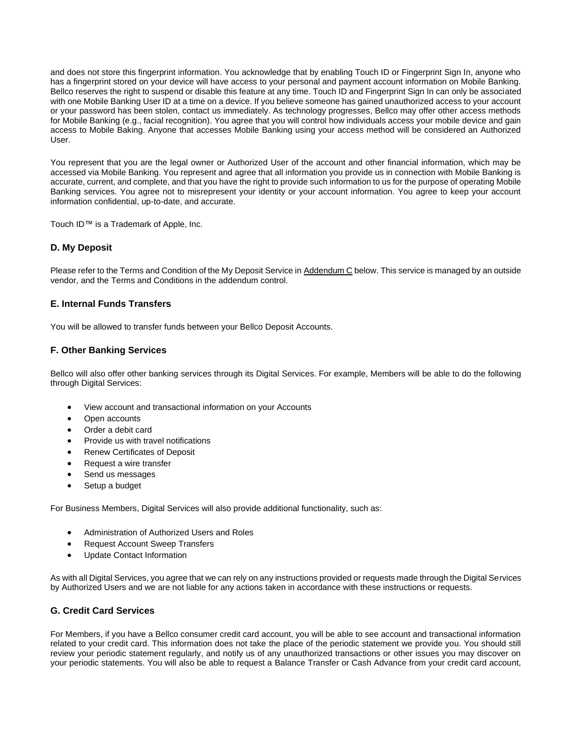and does not store this fingerprint information. You acknowledge that by enabling Touch ID or Fingerprint Sign In, anyone who has a fingerprint stored on your device will have access to your personal and payment account information on Mobile Banking. Bellco reserves the right to suspend or disable this feature at any time. Touch ID and Fingerprint Sign In can only be associated with one Mobile Banking User ID at a time on a device. If you believe someone has gained unauthorized access to your account or your password has been stolen, contact us immediately. As technology progresses, Bellco may offer other access methods for Mobile Banking (e.g., facial recognition). You agree that you will control how individuals access your mobile device and gain access to Mobile Baking. Anyone that accesses Mobile Banking using your access method will be considered an Authorized User.

You represent that you are the legal owner or Authorized User of the account and other financial information, which may be accessed via Mobile Banking. You represent and agree that all information you provide us in connection with Mobile Banking is accurate, current, and complete, and that you have the right to provide such information to us for the purpose of operating Mobile Banking services. You agree not to misrepresent your identity or your account information. You agree to keep your account information confidential, up-to-date, and accurate.

Touch ID™ is a Trademark of Apple, Inc.

### **D. My Deposit**

Please refer to the Terms and Condition of the My Deposit Service in Addendum C below. This service is managed by an outside vendor, and the Terms and Conditions in the addendum control.

### **E. Internal Funds Transfers**

You will be allowed to transfer funds between your Bellco Deposit Accounts.

### **F. Other Banking Services**

Bellco will also offer other banking services through its Digital Services. For example, Members will be able to do the following through Digital Services:

- View account and transactional information on your Accounts
- Open accounts
- Order a debit card
- Provide us with travel notifications
- Renew Certificates of Deposit
- Request a wire transfer
- Send us messages
- Setup a budget

For Business Members, Digital Services will also provide additional functionality, such as:

- Administration of Authorized Users and Roles
- Request Account Sweep Transfers
- Update Contact Information

As with all Digital Services, you agree that we can rely on any instructions provided or requests made through the Digital Services by Authorized Users and we are not liable for any actions taken in accordance with these instructions or requests.

### **G. Credit Card Services**

For Members, if you have a Bellco consumer credit card account, you will be able to see account and transactional information related to your credit card. This information does not take the place of the periodic statement we provide you. You should still review your periodic statement regularly, and notify us of any unauthorized transactions or other issues you may discover on your periodic statements. You will also be able to request a Balance Transfer or Cash Advance from your credit card account,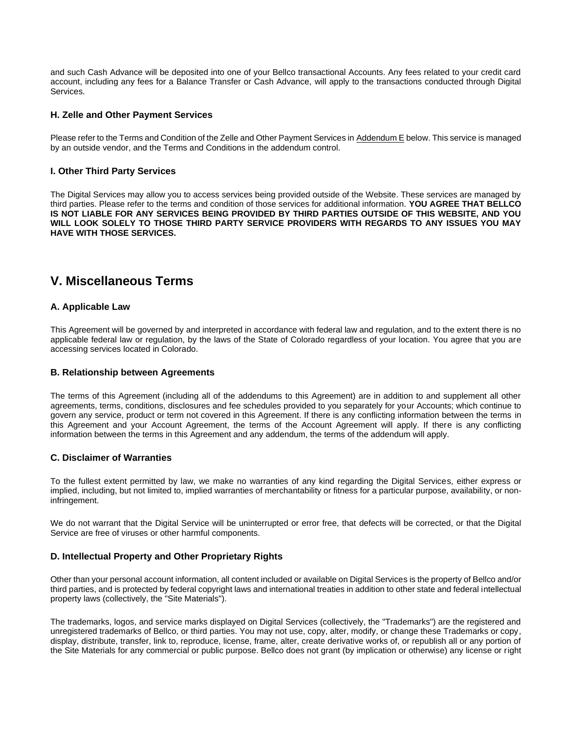and such Cash Advance will be deposited into one of your Bellco transactional Accounts. Any fees related to your credit card account, including any fees for a Balance Transfer or Cash Advance, will apply to the transactions conducted through Digital Services.

### **H. Zelle and Other Payment Services**

Please refer to the Terms and Condition of the Zelle and Other Payment Services in Addendum E below. This service is managed by an outside vendor, and the Terms and Conditions in the addendum control.

### **I. Other Third Party Services**

The Digital Services may allow you to access services being provided outside of the Website. These services are managed by third parties. Please refer to the terms and condition of those services for additional information. **YOU AGREE THAT BELLCO IS NOT LIABLE FOR ANY SERVICES BEING PROVIDED BY THIRD PARTIES OUTSIDE OF THIS WEBSITE, AND YOU WILL LOOK SOLELY TO THOSE THIRD PARTY SERVICE PROVIDERS WITH REGARDS TO ANY ISSUES YOU MAY HAVE WITH THOSE SERVICES.**

### **V. Miscellaneous Terms**

### **A. Applicable Law**

This Agreement will be governed by and interpreted in accordance with federal law and regulation, and to the extent there is no applicable federal law or regulation, by the laws of the State of Colorado regardless of your location. You agree that you are accessing services located in Colorado.

### **B. Relationship between Agreements**

The terms of this Agreement (including all of the addendums to this Agreement) are in addition to and supplement all other agreements, terms, conditions, disclosures and fee schedules provided to you separately for your Accounts; which continue to govern any service, product or term not covered in this Agreement. If there is any conflicting information between the terms in this Agreement and your Account Agreement, the terms of the Account Agreement will apply. If there is any conflicting information between the terms in this Agreement and any addendum, the terms of the addendum will apply.

### **C. Disclaimer of Warranties**

To the fullest extent permitted by law, we make no warranties of any kind regarding the Digital Services, either express or implied, including, but not limited to, implied warranties of merchantability or fitness for a particular purpose, availability, or noninfringement.

We do not warrant that the Digital Service will be uninterrupted or error free, that defects will be corrected, or that the Digital Service are free of viruses or other harmful components.

### **D. Intellectual Property and Other Proprietary Rights**

Other than your personal account information, all content included or available on Digital Services is the property of Bellco and/or third parties, and is protected by federal copyright laws and international treaties in addition to other state and federal intellectual property laws (collectively, the "Site Materials").

The trademarks, logos, and service marks displayed on Digital Services (collectively, the "Trademarks") are the registered and unregistered trademarks of Bellco, or third parties. You may not use, copy, alter, modify, or change these Trademarks or copy, display, distribute, transfer, link to, reproduce, license, frame, alter, create derivative works of, or republish all or any portion of the Site Materials for any commercial or public purpose. Bellco does not grant (by implication or otherwise) any license or right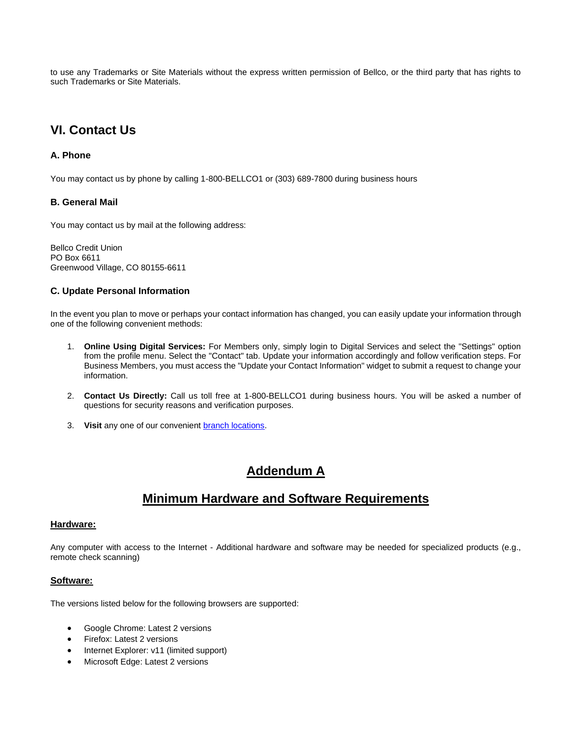to use any Trademarks or Site Materials without the express written permission of Bellco, or the third party that has rights to such Trademarks or Site Materials.

# **VI. Contact Us**

### **A. Phone**

You may contact us by phone by calling 1-800-BELLCO1 or (303) 689-7800 during business hours

### **B. General Mail**

You may contact us by mail at the following address:

Bellco Credit Union PO Box 6611 Greenwood Village, CO 80155-6611

### **C. Update Personal Information**

In the event you plan to move or perhaps your contact information has changed, you can easily update your information through one of the following convenient methods:

- 1. **Online Using Digital Services:** For Members only, simply login to Digital Services and select the "Settings" option from the profile menu. Select the "Contact" tab. Update your information accordingly and follow verification steps. For Business Members, you must access the "Update your Contact Information" widget to submit a request to change your information.
- 2. **Contact Us Directly:** Call us toll free at 1-800-BELLCO1 during business hours. You will be asked a number of questions for security reasons and verification purposes.
- 3. Visit any one of our convenient **branch locations**.

### **Addendum A**

### **Minimum Hardware and Software Requirements**

### **Hardware:**

Any computer with access to the Internet - Additional hardware and software may be needed for specialized products (e.g., remote check scanning)

### **Software:**

The versions listed below for the following browsers are supported:

- Google Chrome: Latest 2 versions
- Firefox: Latest 2 versions
- Internet Explorer: v11 (limited support)
- Microsoft Edge: Latest 2 versions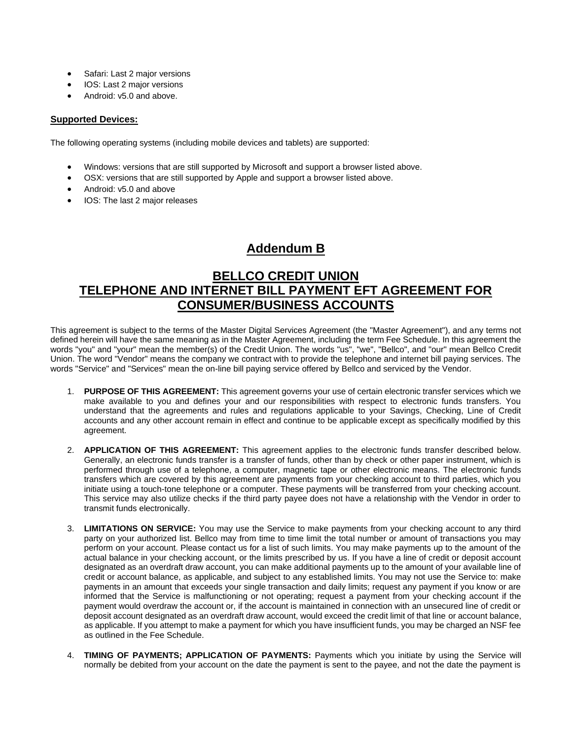- Safari: Last 2 major versions
- IOS: Last 2 major versions
- Android: v5.0 and above.

### **Supported Devices:**

The following operating systems (including mobile devices and tablets) are supported:

- Windows: versions that are still supported by Microsoft and support a browser listed above.
- OSX: versions that are still supported by Apple and support a browser listed above.
- Android: v5.0 and above
- IOS: The last 2 major releases

## **Addendum B**

### **BELLCO CREDIT UNION TELEPHONE AND INTERNET BILL PAYMENT EFT AGREEMENT FOR CONSUMER/BUSINESS ACCOUNTS**

This agreement is subject to the terms of the Master Digital Services Agreement (the "Master Agreement"), and any terms not defined herein will have the same meaning as in the Master Agreement, including the term Fee Schedule. In this agreement the words "you" and "your" mean the member(s) of the Credit Union. The words "us", "we", "Bellco", and "our" mean Bellco Credit Union. The word "Vendor" means the company we contract with to provide the telephone and internet bill paying services. The words "Service" and "Services" mean the on-line bill paying service offered by Bellco and serviced by the Vendor.

- 1. **PURPOSE OF THIS AGREEMENT:** This agreement governs your use of certain electronic transfer services which we make available to you and defines your and our responsibilities with respect to electronic funds transfers. You understand that the agreements and rules and regulations applicable to your Savings, Checking, Line of Credit accounts and any other account remain in effect and continue to be applicable except as specifically modified by this agreement.
- 2. **APPLICATION OF THIS AGREEMENT:** This agreement applies to the electronic funds transfer described below. Generally, an electronic funds transfer is a transfer of funds, other than by check or other paper instrument, which is performed through use of a telephone, a computer, magnetic tape or other electronic means. The electronic funds transfers which are covered by this agreement are payments from your checking account to third parties, which you initiate using a touch-tone telephone or a computer. These payments will be transferred from your checking account. This service may also utilize checks if the third party payee does not have a relationship with the Vendor in order to transmit funds electronically.
- 3. **LIMITATIONS ON SERVICE:** You may use the Service to make payments from your checking account to any third party on your authorized list. Bellco may from time to time limit the total number or amount of transactions you may perform on your account. Please contact us for a list of such limits. You may make payments up to the amount of the actual balance in your checking account, or the limits prescribed by us. If you have a line of credit or deposit account designated as an overdraft draw account, you can make additional payments up to the amount of your available line of credit or account balance, as applicable, and subject to any established limits. You may not use the Service to: make payments in an amount that exceeds your single transaction and daily limits; request any payment if you know or are informed that the Service is malfunctioning or not operating; request a payment from your checking account if the payment would overdraw the account or, if the account is maintained in connection with an unsecured line of credit or deposit account designated as an overdraft draw account, would exceed the credit limit of that line or account balance, as applicable. If you attempt to make a payment for which you have insufficient funds, you may be charged an NSF fee as outlined in the Fee Schedule.
- 4. **TIMING OF PAYMENTS; APPLICATION OF PAYMENTS:** Payments which you initiate by using the Service will normally be debited from your account on the date the payment is sent to the payee, and not the date the payment is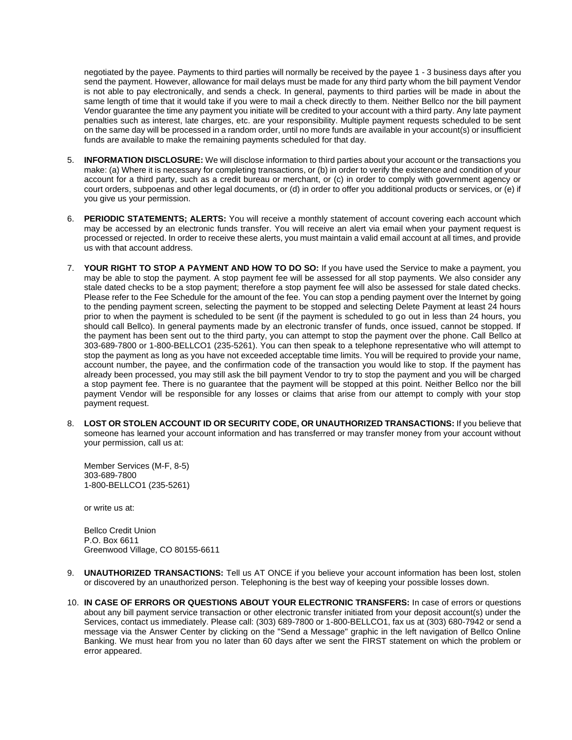negotiated by the payee. Payments to third parties will normally be received by the payee 1 - 3 business days after you send the payment. However, allowance for mail delays must be made for any third party whom the bill payment Vendor is not able to pay electronically, and sends a check. In general, payments to third parties will be made in about the same length of time that it would take if you were to mail a check directly to them. Neither Bellco nor the bill payment Vendor guarantee the time any payment you initiate will be credited to your account with a third party. Any late payment penalties such as interest, late charges, etc. are your responsibility. Multiple payment requests scheduled to be sent on the same day will be processed in a random order, until no more funds are available in your account(s) or insufficient funds are available to make the remaining payments scheduled for that day.

- 5. **INFORMATION DISCLOSURE:** We will disclose information to third parties about your account or the transactions you make: (a) Where it is necessary for completing transactions, or (b) in order to verify the existence and condition of your account for a third party, such as a credit bureau or merchant, or (c) in order to comply with government agency or court orders, subpoenas and other legal documents, or (d) in order to offer you additional products or services, or (e) if you give us your permission.
- 6. **PERIODIC STATEMENTS; ALERTS:** You will receive a monthly statement of account covering each account which may be accessed by an electronic funds transfer. You will receive an alert via email when your payment request is processed or rejected. In order to receive these alerts, you must maintain a valid email account at all times, and provide us with that account address.
- 7. **YOUR RIGHT TO STOP A PAYMENT AND HOW TO DO SO:** If you have used the Service to make a payment, you may be able to stop the payment. A stop payment fee will be assessed for all stop payments. We also consider any stale dated checks to be a stop payment; therefore a stop payment fee will also be assessed for stale dated checks. Please refer to the Fee Schedule for the amount of the fee. You can stop a pending payment over the Internet by going to the pending payment screen, selecting the payment to be stopped and selecting Delete Payment at least 24 hours prior to when the payment is scheduled to be sent (if the payment is scheduled to go out in less than 24 hours, you should call Bellco). In general payments made by an electronic transfer of funds, once issued, cannot be stopped. If the payment has been sent out to the third party, you can attempt to stop the payment over the phone. Call Bellco at 303-689-7800 or 1-800-BELLCO1 (235-5261). You can then speak to a telephone representative who will attempt to stop the payment as long as you have not exceeded acceptable time limits. You will be required to provide your name, account number, the payee, and the confirmation code of the transaction you would like to stop. If the payment has already been processed, you may still ask the bill payment Vendor to try to stop the payment and you will be charged a stop payment fee. There is no guarantee that the payment will be stopped at this point. Neither Bellco nor the bill payment Vendor will be responsible for any losses or claims that arise from our attempt to comply with your stop payment request.
- 8. **LOST OR STOLEN ACCOUNT ID OR SECURITY CODE, OR UNAUTHORIZED TRANSACTIONS:** If you believe that someone has learned your account information and has transferred or may transfer money from your account without your permission, call us at:

Member Services (M-F, 8-5) 303-689-7800 1-800-BELLCO1 (235-5261)

or write us at:

Bellco Credit Union P.O. Box 6611 Greenwood Village, CO 80155-6611

- 9. **UNAUTHORIZED TRANSACTIONS:** Tell us AT ONCE if you believe your account information has been lost, stolen or discovered by an unauthorized person. Telephoning is the best way of keeping your possible losses down.
- 10. **IN CASE OF ERRORS OR QUESTIONS ABOUT YOUR ELECTRONIC TRANSFERS:** In case of errors or questions about any bill payment service transaction or other electronic transfer initiated from your deposit account(s) under the Services, contact us immediately. Please call: (303) 689-7800 or 1-800-BELLCO1, fax us at (303) 680-7942 or send a message via the Answer Center by clicking on the "Send a Message" graphic in the left navigation of Bellco Online Banking. We must hear from you no later than 60 days after we sent the FIRST statement on which the problem or error appeared.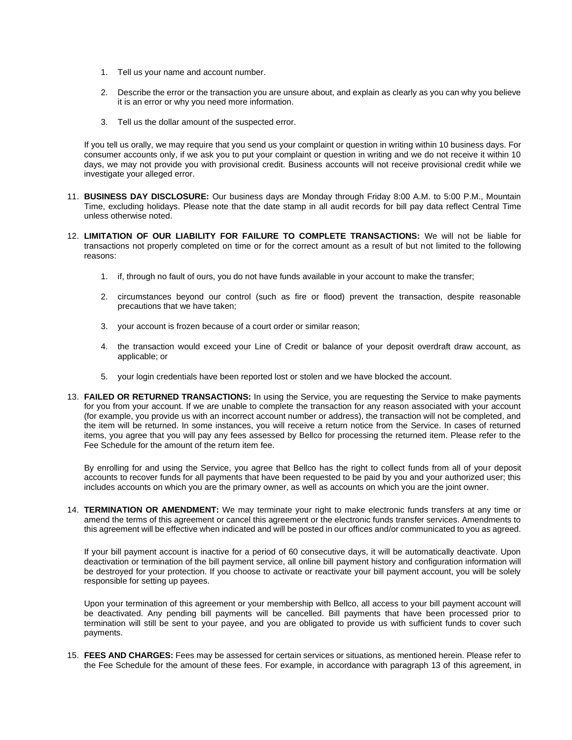- 1. Tell us your name and account number.
- 2. Describe the error or the transaction you are unsure about, and explain as clearly as you can why you believe it is an error or why you need more information.
- 3. Tell us the dollar amount of the suspected error.

If you tell us orally, we may require that you send us your complaint or question in writing within 10 business days. For consumer accounts only, if we ask you to put your complaint or question in writing and we do not receive it within 10 days, we may not provide you with provisional credit. Business accounts will not receive provisional credit while we investigate your alleged error.

- 11. **BUSINESS DAY DISCLOSURE:** Our business days are Monday through Friday 8:00 A.M. to 5:00 P.M., Mountain Time, excluding holidays. Please note that the date stamp in all audit records for bill pay data reflect Central Time unless otherwise noted.
- 12. **LIMITATION OF OUR LIABILITY FOR FAILURE TO COMPLETE TRANSACTIONS:** We will not be liable for transactions not properly completed on time or for the correct amount as a result of but not limited to the following reasons:
	- 1. if, through no fault of ours, you do not have funds available in your account to make the transfer;
	- 2. circumstances beyond our control (such as fire or flood) prevent the transaction, despite reasonable precautions that we have taken;
	- 3. your account is frozen because of a court order or similar reason;
	- 4. the transaction would exceed your Line of Credit or balance of your deposit overdraft draw account, as applicable; or
	- 5. your login credentials have been reported lost or stolen and we have blocked the account.
- 13. **FAILED OR RETURNED TRANSACTIONS:** In using the Service, you are requesting the Service to make payments for you from your account. If we are unable to complete the transaction for any reason associated with your account (for example, you provide us with an incorrect account number or address), the transaction will not be completed, and the item will be returned. In some instances, you will receive a return notice from the Service. In cases of returned items, you agree that you will pay any fees assessed by Bellco for processing the returned item. Please refer to the Fee Schedule for the amount of the return item fee.

By enrolling for and using the Service, you agree that Bellco has the right to collect funds from all of your deposit accounts to recover funds for all payments that have been requested to be paid by you and your authorized user; this includes accounts on which you are the primary owner, as well as accounts on which you are the joint owner.

14. **TERMINATION OR AMENDMENT:** We may terminate your right to make electronic funds transfers at any time or amend the terms of this agreement or cancel this agreement or the electronic funds transfer services. Amendments to this agreement will be effective when indicated and will be posted in our offices and/or communicated to you as agreed.

If your bill payment account is inactive for a period of 60 consecutive days, it will be automatically deactivate. Upon deactivation or termination of the bill payment service, all online bill payment history and configuration information will be destroyed for your protection. If you choose to activate or reactivate your bill payment account, you will be solely responsible for setting up payees.

Upon your termination of this agreement or your membership with Bellco, all access to your bill payment account will be deactivated. Any pending bill payments will be cancelled. Bill payments that have been processed prior to termination will still be sent to your payee, and you are obligated to provide us with sufficient funds to cover such payments.

15. **FEES AND CHARGES:** Fees may be assessed for certain services or situations, as mentioned herein. Please refer to the Fee Schedule for the amount of these fees. For example, in accordance with paragraph 13 of this agreement, in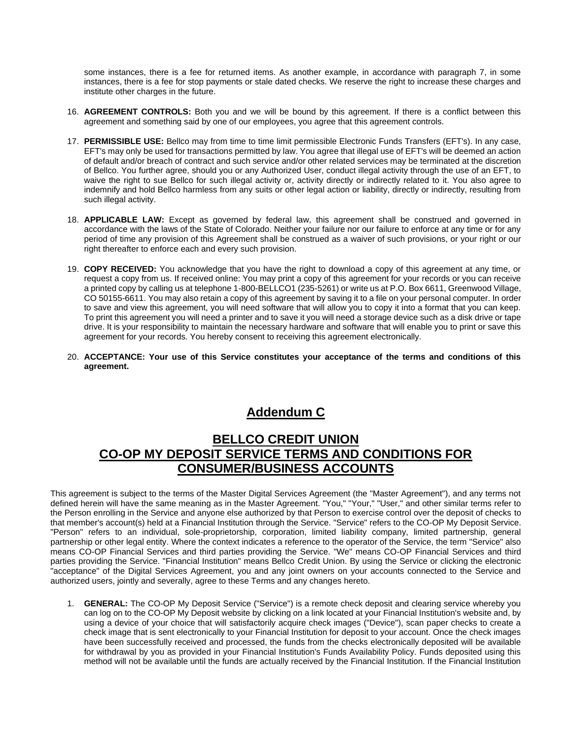some instances, there is a fee for returned items. As another example, in accordance with paragraph 7, in some instances, there is a fee for stop payments or stale dated checks. We reserve the right to increase these charges and institute other charges in the future.

- 16. **AGREEMENT CONTROLS:** Both you and we will be bound by this agreement. If there is a conflict between this agreement and something said by one of our employees, you agree that this agreement controls.
- 17. **PERMISSIBLE USE:** Bellco may from time to time limit permissible Electronic Funds Transfers (EFT's). In any case, EFT's may only be used for transactions permitted by law. You agree that illegal use of EFT's will be deemed an action of default and/or breach of contract and such service and/or other related services may be terminated at the discretion of Bellco. You further agree, should you or any Authorized User, conduct illegal activity through the use of an EFT, to waive the right to sue Bellco for such illegal activity or, activity directly or indirectly related to it. You also agree to indemnify and hold Bellco harmless from any suits or other legal action or liability, directly or indirectly, resulting from such illegal activity.
- 18. **APPLICABLE LAW:** Except as governed by federal law, this agreement shall be construed and governed in accordance with the laws of the State of Colorado. Neither your failure nor our failure to enforce at any time or for any period of time any provision of this Agreement shall be construed as a waiver of such provisions, or your right or our right thereafter to enforce each and every such provision.
- 19. **COPY RECEIVED:** You acknowledge that you have the right to download a copy of this agreement at any time, or request a copy from us. If received online: You may print a copy of this agreement for your records or you can receive a printed copy by calling us at telephone 1-800-BELLCO1 (235-5261) or write us at P.O. Box 6611, Greenwood Village, CO 50155-6611. You may also retain a copy of this agreement by saving it to a file on your personal computer. In order to save and view this agreement, you will need software that will allow you to copy it into a format that you can keep. To print this agreement you will need a printer and to save it you will need a storage device such as a disk drive or tape drive. It is your responsibility to maintain the necessary hardware and software that will enable you to print or save this agreement for your records. You hereby consent to receiving this agreement electronically.
- 20. **ACCEPTANCE: Your use of this Service constitutes your acceptance of the terms and conditions of this agreement.**

# **Addendum C**

### **BELLCO CREDIT UNION CO-OP MY DEPOSIT SERVICE TERMS AND CONDITIONS FOR CONSUMER/BUSINESS ACCOUNTS**

This agreement is subject to the terms of the Master Digital Services Agreement (the "Master Agreement"), and any terms not defined herein will have the same meaning as in the Master Agreement. "You," "Your," "User," and other similar terms refer to the Person enrolling in the Service and anyone else authorized by that Person to exercise control over the deposit of checks to that member's account(s) held at a Financial Institution through the Service. "Service" refers to the CO-OP My Deposit Service. "Person" refers to an individual, sole-proprietorship, corporation, limited liability company, limited partnership, general partnership or other legal entity. Where the context indicates a reference to the operator of the Service, the term "Service" also means CO-OP Financial Services and third parties providing the Service. "We" means CO-OP Financial Services and third parties providing the Service. "Financial Institution" means Bellco Credit Union. By using the Service or clicking the electronic "acceptance" of the Digital Services Agreement, you and any joint owners on your accounts connected to the Service and authorized users, jointly and severally, agree to these Terms and any changes hereto.

1. **GENERAL:** The CO-OP My Deposit Service ("Service") is a remote check deposit and clearing service whereby you can log on to the CO-OP My Deposit website by clicking on a link located at your Financial Institution's website and, by using a device of your choice that will satisfactorily acquire check images ("Device"), scan paper checks to create a check image that is sent electronically to your Financial Institution for deposit to your account. Once the check images have been successfully received and processed, the funds from the checks electronically deposited will be available for withdrawal by you as provided in your Financial Institution's Funds Availability Policy. Funds deposited using this method will not be available until the funds are actually received by the Financial Institution. If the Financial Institution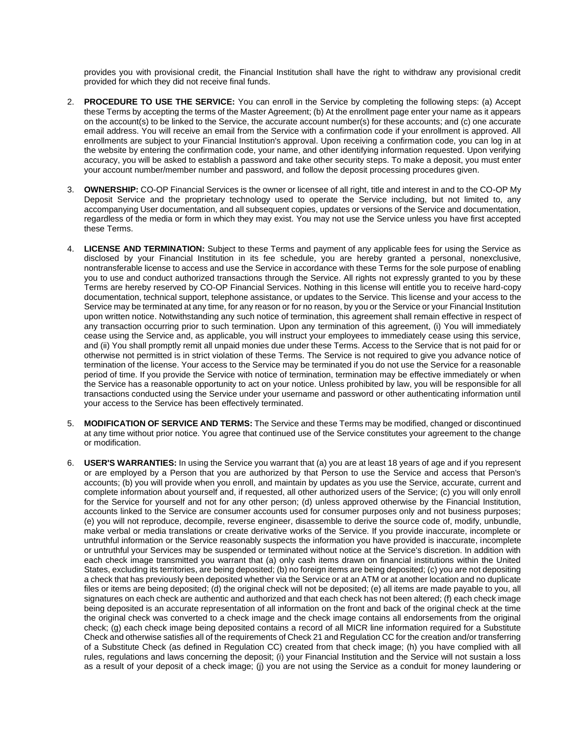provides you with provisional credit, the Financial Institution shall have the right to withdraw any provisional credit provided for which they did not receive final funds.

- 2. **PROCEDURE TO USE THE SERVICE:** You can enroll in the Service by completing the following steps: (a) Accept these Terms by accepting the terms of the Master Agreement; (b) At the enrollment page enter your name as it appears on the account(s) to be linked to the Service, the accurate account number(s) for these accounts; and (c) one accurate email address. You will receive an email from the Service with a confirmation code if your enrollment is approved. All enrollments are subject to your Financial Institution's approval. Upon receiving a confirmation code, you can log in at the website by entering the confirmation code, your name, and other identifying information requested. Upon verifying accuracy, you will be asked to establish a password and take other security steps. To make a deposit, you must enter your account number/member number and password, and follow the deposit processing procedures given.
- 3. **OWNERSHIP:** CO-OP Financial Services is the owner or licensee of all right, title and interest in and to the CO-OP My Deposit Service and the proprietary technology used to operate the Service including, but not limited to, any accompanying User documentation, and all subsequent copies, updates or versions of the Service and documentation, regardless of the media or form in which they may exist. You may not use the Service unless you have first accepted these Terms.
- 4. **LICENSE AND TERMINATION:** Subject to these Terms and payment of any applicable fees for using the Service as disclosed by your Financial Institution in its fee schedule, you are hereby granted a personal, nonexclusive, nontransferable license to access and use the Service in accordance with these Terms for the sole purpose of enabling you to use and conduct authorized transactions through the Service. All rights not expressly granted to you by these Terms are hereby reserved by CO-OP Financial Services. Nothing in this license will entitle you to receive hard-copy documentation, technical support, telephone assistance, or updates to the Service. This license and your access to the Service may be terminated at any time, for any reason or for no reason, by you or the Service or your Financial Institution upon written notice. Notwithstanding any such notice of termination, this agreement shall remain effective in respect of any transaction occurring prior to such termination. Upon any termination of this agreement, (i) You will immediately cease using the Service and, as applicable, you will instruct your employees to immediately cease using this service, and (ii) You shall promptly remit all unpaid monies due under these Terms. Access to the Service that is not paid for or otherwise not permitted is in strict violation of these Terms. The Service is not required to give you advance notice of termination of the license. Your access to the Service may be terminated if you do not use the Service for a reasonable period of time. If you provide the Service with notice of termination, termination may be effective immediately or when the Service has a reasonable opportunity to act on your notice. Unless prohibited by law, you will be responsible for all transactions conducted using the Service under your username and password or other authenticating information until your access to the Service has been effectively terminated.
- 5. **MODIFICATION OF SERVICE AND TERMS:** The Service and these Terms may be modified, changed or discontinued at any time without prior notice. You agree that continued use of the Service constitutes your agreement to the change or modification.
- 6. **USER'S WARRANTIES:** In using the Service you warrant that (a) you are at least 18 years of age and if you represent or are employed by a Person that you are authorized by that Person to use the Service and access that Person's accounts; (b) you will provide when you enroll, and maintain by updates as you use the Service, accurate, current and complete information about yourself and, if requested, all other authorized users of the Service; (c) you will only enroll for the Service for yourself and not for any other person; (d) unless approved otherwise by the Financial Institution, accounts linked to the Service are consumer accounts used for consumer purposes only and not business purposes; (e) you will not reproduce, decompile, reverse engineer, disassemble to derive the source code of, modify, unbundle, make verbal or media translations or create derivative works of the Service. If you provide inaccurate, incomplete or untruthful information or the Service reasonably suspects the information you have provided is inaccurate, incomplete or untruthful your Services may be suspended or terminated without notice at the Service's discretion. In addition with each check image transmitted you warrant that (a) only cash items drawn on financial institutions within the United States, excluding its territories, are being deposited; (b) no foreign items are being deposited; (c) you are not depositing a check that has previously been deposited whether via the Service or at an ATM or at another location and no duplicate files or items are being deposited; (d) the original check will not be deposited; (e) all items are made payable to you, all signatures on each check are authentic and authorized and that each check has not been altered; (f) each check image being deposited is an accurate representation of all information on the front and back of the original check at the time the original check was converted to a check image and the check image contains all endorsements from the original check; (g) each check image being deposited contains a record of all MICR line information required for a Substitute Check and otherwise satisfies all of the requirements of Check 21 and Regulation CC for the creation and/or transferring of a Substitute Check (as defined in Regulation CC) created from that check image; (h) you have complied with all rules, regulations and laws concerning the deposit; (i) your Financial Institution and the Service will not sustain a loss as a result of your deposit of a check image; (j) you are not using the Service as a conduit for money laundering or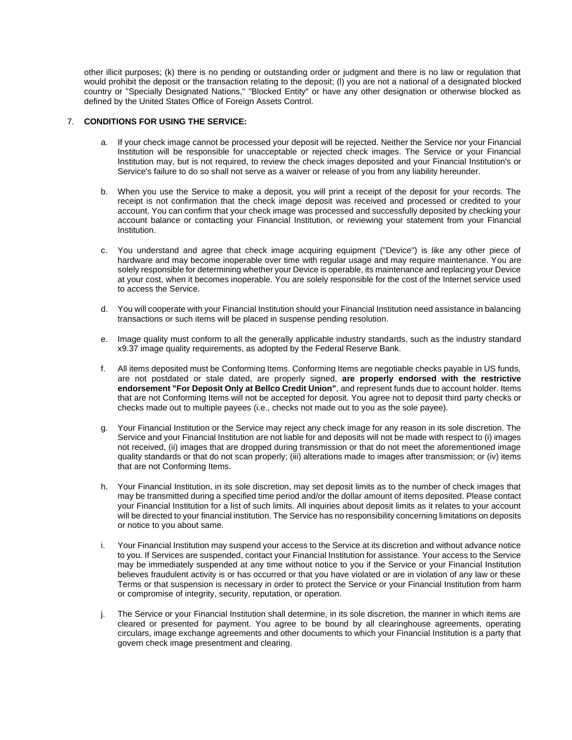other illicit purposes; (k) there is no pending or outstanding order or judgment and there is no law or regulation that would prohibit the deposit or the transaction relating to the deposit; (l) you are not a national of a designated blocked country or "Specially Designated Nations," "Blocked Entity" or have any other designation or otherwise blocked as defined by the United States Office of Foreign Assets Control.

### 7. **CONDITIONS FOR USING THE SERVICE:**

- a. If your check image cannot be processed your deposit will be rejected. Neither the Service nor your Financial Institution will be responsible for unacceptable or rejected check images. The Service or your Financial Institution may, but is not required, to review the check images deposited and your Financial Institution's or Service's failure to do so shall not serve as a waiver or release of you from any liability hereunder.
- b. When you use the Service to make a deposit, you will print a receipt of the deposit for your records. The receipt is not confirmation that the check image deposit was received and processed or credited to your account. You can confirm that your check image was processed and successfully deposited by checking your account balance or contacting your Financial Institution, or reviewing your statement from your Financial Institution.
- c. You understand and agree that check image acquiring equipment ("Device") is like any other piece of hardware and may become inoperable over time with regular usage and may require maintenance. You are solely responsible for determining whether your Device is operable, its maintenance and replacing your Device at your cost, when it becomes inoperable. You are solely responsible for the cost of the Internet service used to access the Service.
- d. You will cooperate with your Financial Institution should your Financial Institution need assistance in balancing transactions or such items will be placed in suspense pending resolution.
- e. Image quality must conform to all the generally applicable industry standards, such as the industry standard x9.37 image quality requirements, as adopted by the Federal Reserve Bank.
- f. All items deposited must be Conforming Items. Conforming Items are negotiable checks payable in US funds, are not postdated or stale dated, are properly signed, **are properly endorsed with the restrictive endorsement "For Deposit Only at Bellco Credit Union"**, and represent funds due to account holder. Items that are not Conforming Items will not be accepted for deposit. You agree not to deposit third party checks or checks made out to multiple payees (i.e., checks not made out to you as the sole payee).
- g. Your Financial Institution or the Service may reject any check image for any reason in its sole discretion. The Service and your Financial Institution are not liable for and deposits will not be made with respect to (i) images not received, (ii) images that are dropped during transmission or that do not meet the aforementioned image quality standards or that do not scan properly; (iii) alterations made to images after transmission; or (iv) items that are not Conforming Items.
- h. Your Financial Institution, in its sole discretion, may set deposit limits as to the number of check images that may be transmitted during a specified time period and/or the dollar amount of items deposited. Please contact your Financial Institution for a list of such limits. All inquiries about deposit limits as it relates to your account will be directed to your financial institution. The Service has no responsibility concerning limitations on deposits or notice to you about same.
- i. Your Financial Institution may suspend your access to the Service at its discretion and without advance notice to you. If Services are suspended, contact your Financial Institution for assistance. Your access to the Service may be immediately suspended at any time without notice to you if the Service or your Financial Institution believes fraudulent activity is or has occurred or that you have violated or are in violation of any law or these Terms or that suspension is necessary in order to protect the Service or your Financial Institution from harm or compromise of integrity, security, reputation, or operation.
- j. The Service or your Financial Institution shall determine, in its sole discretion, the manner in which items are cleared or presented for payment. You agree to be bound by all clearinghouse agreements, operating circulars, image exchange agreements and other documents to which your Financial Institution is a party that govern check image presentment and clearing.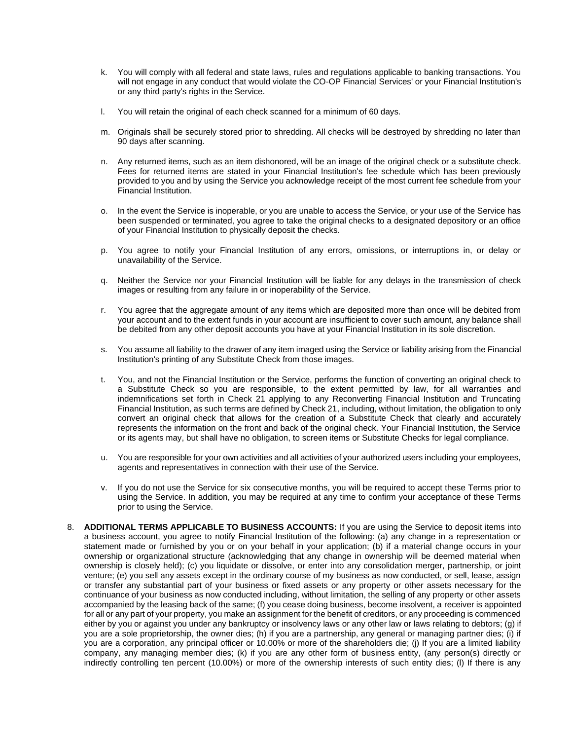- k. You will comply with all federal and state laws, rules and regulations applicable to banking transactions. You will not engage in any conduct that would violate the CO-OP Financial Services' or your Financial Institution's or any third party's rights in the Service.
- l. You will retain the original of each check scanned for a minimum of 60 days.
- m. Originals shall be securely stored prior to shredding. All checks will be destroyed by shredding no later than 90 days after scanning.
- n. Any returned items, such as an item dishonored, will be an image of the original check or a substitute check. Fees for returned items are stated in your Financial Institution's fee schedule which has been previously provided to you and by using the Service you acknowledge receipt of the most current fee schedule from your Financial Institution.
- o. In the event the Service is inoperable, or you are unable to access the Service, or your use of the Service has been suspended or terminated, you agree to take the original checks to a designated depository or an office of your Financial Institution to physically deposit the checks.
- p. You agree to notify your Financial Institution of any errors, omissions, or interruptions in, or delay or unavailability of the Service.
- q. Neither the Service nor your Financial Institution will be liable for any delays in the transmission of check images or resulting from any failure in or inoperability of the Service.
- r. You agree that the aggregate amount of any items which are deposited more than once will be debited from your account and to the extent funds in your account are insufficient to cover such amount, any balance shall be debited from any other deposit accounts you have at your Financial Institution in its sole discretion.
- s. You assume all liability to the drawer of any item imaged using the Service or liability arising from the Financial Institution's printing of any Substitute Check from those images.
- t. You, and not the Financial Institution or the Service, performs the function of converting an original check to a Substitute Check so you are responsible, to the extent permitted by law, for all warranties and indemnifications set forth in Check 21 applying to any Reconverting Financial Institution and Truncating Financial Institution, as such terms are defined by Check 21, including, without limitation, the obligation to only convert an original check that allows for the creation of a Substitute Check that clearly and accurately represents the information on the front and back of the original check. Your Financial Institution, the Service or its agents may, but shall have no obligation, to screen items or Substitute Checks for legal compliance.
- u. You are responsible for your own activities and all activities of your authorized users including your employees, agents and representatives in connection with their use of the Service.
- v. If you do not use the Service for six consecutive months, you will be required to accept these Terms prior to using the Service. In addition, you may be required at any time to confirm your acceptance of these Terms prior to using the Service.
- 8. **ADDITIONAL TERMS APPLICABLE TO BUSINESS ACCOUNTS:** If you are using the Service to deposit items into a business account, you agree to notify Financial Institution of the following: (a) any change in a representation or statement made or furnished by you or on your behalf in your application; (b) if a material change occurs in your ownership or organizational structure (acknowledging that any change in ownership will be deemed material when ownership is closely held); (c) you liquidate or dissolve, or enter into any consolidation merger, partnership, or joint venture; (e) you sell any assets except in the ordinary course of my business as now conducted, or sell, lease, assign or transfer any substantial part of your business or fixed assets or any property or other assets necessary for the continuance of your business as now conducted including, without limitation, the selling of any property or other assets accompanied by the leasing back of the same; (f) you cease doing business, become insolvent, a receiver is appointed for all or any part of your property, you make an assignment for the benefit of creditors, or any proceeding is commenced either by you or against you under any bankruptcy or insolvency laws or any other law or laws relating to debtors; (g) if you are a sole proprietorship, the owner dies; (h) if you are a partnership, any general or managing partner dies; (i) if you are a corporation, any principal officer or 10.00% or more of the shareholders die; (j) If you are a limited liability company, any managing member dies; (k) if you are any other form of business entity, (any person(s) directly or indirectly controlling ten percent (10.00%) or more of the ownership interests of such entity dies; (l) If there is any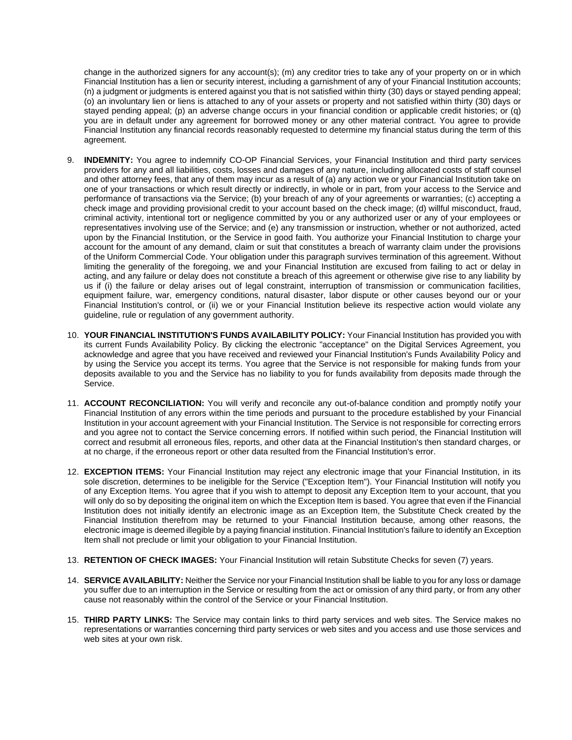change in the authorized signers for any account(s); (m) any creditor tries to take any of your property on or in which Financial Institution has a lien or security interest, including a garnishment of any of your Financial Institution accounts; (n) a judgment or judgments is entered against you that is not satisfied within thirty (30) days or stayed pending appeal; (o) an involuntary lien or liens is attached to any of your assets or property and not satisfied within thirty (30) days or stayed pending appeal; (p) an adverse change occurs in your financial condition or applicable credit histories; or (q) you are in default under any agreement for borrowed money or any other material contract. You agree to provide Financial Institution any financial records reasonably requested to determine my financial status during the term of this agreement.

- 9. **INDEMNITY:** You agree to indemnify CO-OP Financial Services, your Financial Institution and third party services providers for any and all liabilities, costs, losses and damages of any nature, including allocated costs of staff counsel and other attorney fees, that any of them may incur as a result of (a) any action we or your Financial Institution take on one of your transactions or which result directly or indirectly, in whole or in part, from your access to the Service and performance of transactions via the Service; (b) your breach of any of your agreements or warranties; (c) accepting a check image and providing provisional credit to your account based on the check image; (d) willful misconduct, fraud, criminal activity, intentional tort or negligence committed by you or any authorized user or any of your employees or representatives involving use of the Service; and (e) any transmission or instruction, whether or not authorized, acted upon by the Financial Institution, or the Service in good faith. You authorize your Financial Institution to charge your account for the amount of any demand, claim or suit that constitutes a breach of warranty claim under the provisions of the Uniform Commercial Code. Your obligation under this paragraph survives termination of this agreement. Without limiting the generality of the foregoing, we and your Financial Institution are excused from failing to act or delay in acting, and any failure or delay does not constitute a breach of this agreement or otherwise give rise to any liability by us if (i) the failure or delay arises out of legal constraint, interruption of transmission or communication facilities, equipment failure, war, emergency conditions, natural disaster, labor dispute or other causes beyond our or your Financial Institution's control, or (ii) we or your Financial Institution believe its respective action would violate any guideline, rule or regulation of any government authority.
- 10. **YOUR FINANCIAL INSTITUTION'S FUNDS AVAILABILITY POLICY:** Your Financial Institution has provided you with its current Funds Availability Policy. By clicking the electronic "acceptance" on the Digital Services Agreement, you acknowledge and agree that you have received and reviewed your Financial Institution's Funds Availability Policy and by using the Service you accept its terms. You agree that the Service is not responsible for making funds from your deposits available to you and the Service has no liability to you for funds availability from deposits made through the Service.
- 11. **ACCOUNT RECONCILIATION:** You will verify and reconcile any out-of-balance condition and promptly notify your Financial Institution of any errors within the time periods and pursuant to the procedure established by your Financial Institution in your account agreement with your Financial Institution. The Service is not responsible for correcting errors and you agree not to contact the Service concerning errors. If notified within such period, the Financial Institution will correct and resubmit all erroneous files, reports, and other data at the Financial Institution's then standard charges, or at no charge, if the erroneous report or other data resulted from the Financial Institution's error.
- 12. **EXCEPTION ITEMS:** Your Financial Institution may reject any electronic image that your Financial Institution, in its sole discretion, determines to be ineligible for the Service ("Exception Item"). Your Financial Institution will notify you of any Exception Items. You agree that if you wish to attempt to deposit any Exception Item to your account, that you will only do so by depositing the original item on which the Exception Item is based. You agree that even if the Financial Institution does not initially identify an electronic image as an Exception Item, the Substitute Check created by the Financial Institution therefrom may be returned to your Financial Institution because, among other reasons, the electronic image is deemed illegible by a paying financial institution. Financial Institution's failure to identify an Exception Item shall not preclude or limit your obligation to your Financial Institution.
- 13. **RETENTION OF CHECK IMAGES:** Your Financial Institution will retain Substitute Checks for seven (7) years.
- 14. **SERVICE AVAILABILITY:** Neither the Service nor your Financial Institution shall be liable to you for any loss or damage you suffer due to an interruption in the Service or resulting from the act or omission of any third party, or from any other cause not reasonably within the control of the Service or your Financial Institution.
- 15. **THIRD PARTY LINKS:** The Service may contain links to third party services and web sites. The Service makes no representations or warranties concerning third party services or web sites and you access and use those services and web sites at your own risk.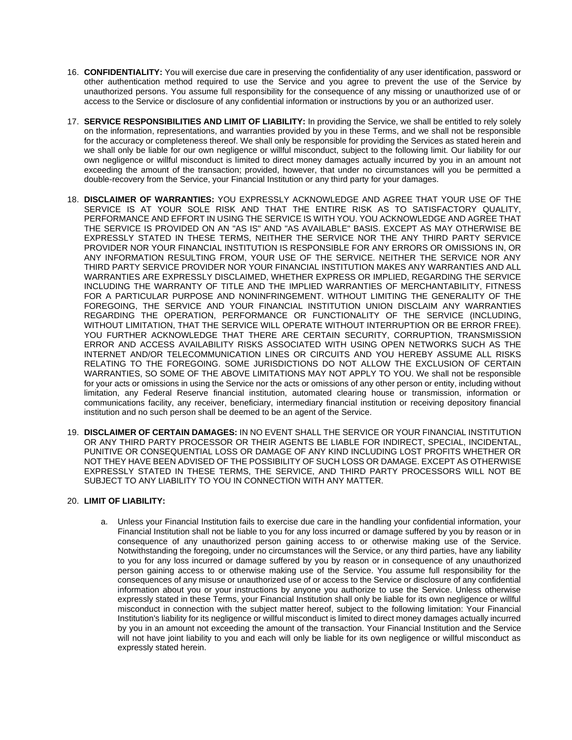- 16. **CONFIDENTIALITY:** You will exercise due care in preserving the confidentiality of any user identification, password or other authentication method required to use the Service and you agree to prevent the use of the Service by unauthorized persons. You assume full responsibility for the consequence of any missing or unauthorized use of or access to the Service or disclosure of any confidential information or instructions by you or an authorized user.
- 17. **SERVICE RESPONSIBILITIES AND LIMIT OF LIABILITY:** In providing the Service, we shall be entitled to rely solely on the information, representations, and warranties provided by you in these Terms, and we shall not be responsible for the accuracy or completeness thereof. We shall only be responsible for providing the Services as stated herein and we shall only be liable for our own negligence or willful misconduct, subject to the following limit. Our liability for our own negligence or willful misconduct is limited to direct money damages actually incurred by you in an amount not exceeding the amount of the transaction; provided, however, that under no circumstances will you be permitted a double-recovery from the Service, your Financial Institution or any third party for your damages.
- 18. **DISCLAIMER OF WARRANTIES:** YOU EXPRESSLY ACKNOWLEDGE AND AGREE THAT YOUR USE OF THE SERVICE IS AT YOUR SOLE RISK AND THAT THE ENTIRE RISK AS TO SATISFACTORY QUALITY, PERFORMANCE AND EFFORT IN USING THE SERVICE IS WITH YOU. YOU ACKNOWLEDGE AND AGREE THAT THE SERVICE IS PROVIDED ON AN "AS IS" AND "AS AVAILABLE" BASIS. EXCEPT AS MAY OTHERWISE BE EXPRESSLY STATED IN THESE TERMS, NEITHER THE SERVICE NOR THE ANY THIRD PARTY SERVICE PROVIDER NOR YOUR FINANCIAL INSTITUTION IS RESPONSIBLE FOR ANY ERRORS OR OMISSIONS IN, OR ANY INFORMATION RESULTING FROM, YOUR USE OF THE SERVICE. NEITHER THE SERVICE NOR ANY THIRD PARTY SERVICE PROVIDER NOR YOUR FINANCIAL INSTITUTION MAKES ANY WARRANTIES AND ALL WARRANTIES ARE EXPRESSLY DISCLAIMED, WHETHER EXPRESS OR IMPLIED, REGARDING THE SERVICE INCLUDING THE WARRANTY OF TITLE AND THE IMPLIED WARRANTIES OF MERCHANTABILITY, FITNESS FOR A PARTICULAR PURPOSE AND NONINFRINGEMENT. WITHOUT LIMITING THE GENERALITY OF THE FOREGOING, THE SERVICE AND YOUR FINANCIAL INSTITUTION UNION DISCLAIM ANY WARRANTIES REGARDING THE OPERATION, PERFORMANCE OR FUNCTIONALITY OF THE SERVICE (INCLUDING, WITHOUT LIMITATION, THAT THE SERVICE WILL OPERATE WITHOUT INTERRUPTION OR BE ERROR FREE). YOU FURTHER ACKNOWLEDGE THAT THERE ARE CERTAIN SECURITY, CORRUPTION, TRANSMISSION ERROR AND ACCESS AVAILABILITY RISKS ASSOCIATED WITH USING OPEN NETWORKS SUCH AS THE INTERNET AND/OR TELECOMMUNICATION LINES OR CIRCUITS AND YOU HEREBY ASSUME ALL RISKS RELATING TO THE FOREGOING. SOME JURISDICTIONS DO NOT ALLOW THE EXCLUSION OF CERTAIN WARRANTIES, SO SOME OF THE ABOVE LIMITATIONS MAY NOT APPLY TO YOU. We shall not be responsible for your acts or omissions in using the Service nor the acts or omissions of any other person or entity, including without limitation, any Federal Reserve financial institution, automated clearing house or transmission, information or communications facility, any receiver, beneficiary, intermediary financial institution or receiving depository financial institution and no such person shall be deemed to be an agent of the Service.
- 19. **DISCLAIMER OF CERTAIN DAMAGES:** IN NO EVENT SHALL THE SERVICE OR YOUR FINANCIAL INSTITUTION OR ANY THIRD PARTY PROCESSOR OR THEIR AGENTS BE LIABLE FOR INDIRECT, SPECIAL, INCIDENTAL, PUNITIVE OR CONSEQUENTIAL LOSS OR DAMAGE OF ANY KIND INCLUDING LOST PROFITS WHETHER OR NOT THEY HAVE BEEN ADVISED OF THE POSSIBILITY OF SUCH LOSS OR DAMAGE. EXCEPT AS OTHERWISE EXPRESSLY STATED IN THESE TERMS, THE SERVICE, AND THIRD PARTY PROCESSORS WILL NOT BE SUBJECT TO ANY LIABILITY TO YOU IN CONNECTION WITH ANY MATTER.

### 20. **LIMIT OF LIABILITY:**

a. Unless your Financial Institution fails to exercise due care in the handling your confidential information, your Financial Institution shall not be liable to you for any loss incurred or damage suffered by you by reason or in consequence of any unauthorized person gaining access to or otherwise making use of the Service. Notwithstanding the foregoing, under no circumstances will the Service, or any third parties, have any liability to you for any loss incurred or damage suffered by you by reason or in consequence of any unauthorized person gaining access to or otherwise making use of the Service. You assume full responsibility for the consequences of any misuse or unauthorized use of or access to the Service or disclosure of any confidential information about you or your instructions by anyone you authorize to use the Service. Unless otherwise expressly stated in these Terms, your Financial Institution shall only be liable for its own negligence or willful misconduct in connection with the subject matter hereof, subject to the following limitation: Your Financial Institution's liability for its negligence or willful misconduct is limited to direct money damages actually incurred by you in an amount not exceeding the amount of the transaction. Your Financial Institution and the Service will not have joint liability to you and each will only be liable for its own negligence or willful misconduct as expressly stated herein.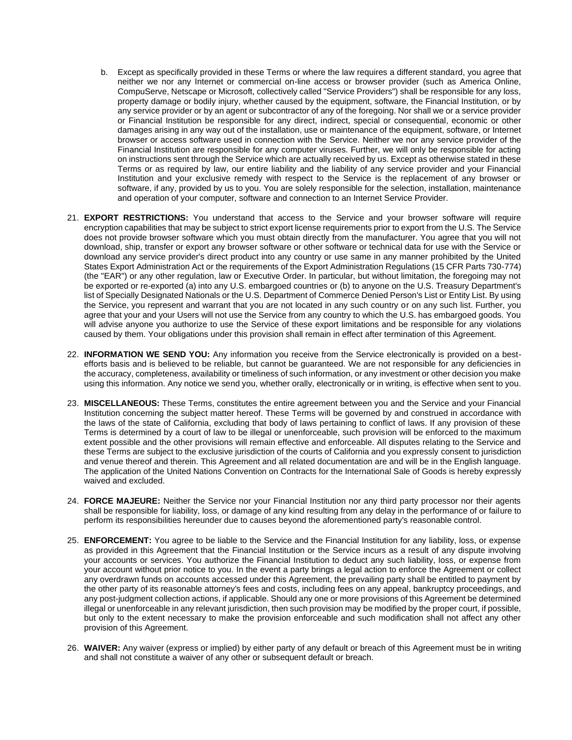- b. Except as specifically provided in these Terms or where the law requires a different standard, you agree that neither we nor any Internet or commercial on-line access or browser provider (such as America Online, CompuServe, Netscape or Microsoft, collectively called "Service Providers") shall be responsible for any loss, property damage or bodily injury, whether caused by the equipment, software, the Financial Institution, or by any service provider or by an agent or subcontractor of any of the foregoing. Nor shall we or a service provider or Financial Institution be responsible for any direct, indirect, special or consequential, economic or other damages arising in any way out of the installation, use or maintenance of the equipment, software, or Internet browser or access software used in connection with the Service. Neither we nor any service provider of the Financial Institution are responsible for any computer viruses. Further, we will only be responsible for acting on instructions sent through the Service which are actually received by us. Except as otherwise stated in these Terms or as required by law, our entire liability and the liability of any service provider and your Financial Institution and your exclusive remedy with respect to the Service is the replacement of any browser or software, if any, provided by us to you. You are solely responsible for the selection, installation, maintenance and operation of your computer, software and connection to an Internet Service Provider.
- 21. **EXPORT RESTRICTIONS:** You understand that access to the Service and your browser software will require encryption capabilities that may be subject to strict export license requirements prior to export from the U.S. The Service does not provide browser software which you must obtain directly from the manufacturer. You agree that you will not download, ship, transfer or export any browser software or other software or technical data for use with the Service or download any service provider's direct product into any country or use same in any manner prohibited by the United States Export Administration Act or the requirements of the Export Administration Regulations (15 CFR Parts 730-774) (the "EAR") or any other regulation, law or Executive Order. In particular, but without limitation, the foregoing may not be exported or re-exported (a) into any U.S. embargoed countries or (b) to anyone on the U.S. Treasury Department's list of Specially Designated Nationals or the U.S. Department of Commerce Denied Person's List or Entity List. By using the Service, you represent and warrant that you are not located in any such country or on any such list. Further, you agree that your and your Users will not use the Service from any country to which the U.S. has embargoed goods. You will advise anyone you authorize to use the Service of these export limitations and be responsible for any violations caused by them. Your obligations under this provision shall remain in effect after termination of this Agreement.
- 22. **INFORMATION WE SEND YOU:** Any information you receive from the Service electronically is provided on a bestefforts basis and is believed to be reliable, but cannot be guaranteed. We are not responsible for any deficiencies in the accuracy, completeness, availability or timeliness of such information, or any investment or other decision you make using this information. Any notice we send you, whether orally, electronically or in writing, is effective when sent to you.
- 23. **MISCELLANEOUS:** These Terms, constitutes the entire agreement between you and the Service and your Financial Institution concerning the subject matter hereof. These Terms will be governed by and construed in accordance with the laws of the state of California, excluding that body of laws pertaining to conflict of laws. If any provision of these Terms is determined by a court of law to be illegal or unenforceable, such provision will be enforced to the maximum extent possible and the other provisions will remain effective and enforceable. All disputes relating to the Service and these Terms are subject to the exclusive jurisdiction of the courts of California and you expressly consent to jurisdiction and venue thereof and therein. This Agreement and all related documentation are and will be in the English language. The application of the United Nations Convention on Contracts for the International Sale of Goods is hereby expressly waived and excluded.
- 24. **FORCE MAJEURE:** Neither the Service nor your Financial Institution nor any third party processor nor their agents shall be responsible for liability, loss, or damage of any kind resulting from any delay in the performance of or failure to perform its responsibilities hereunder due to causes beyond the aforementioned party's reasonable control.
- 25. **ENFORCEMENT:** You agree to be liable to the Service and the Financial Institution for any liability, loss, or expense as provided in this Agreement that the Financial Institution or the Service incurs as a result of any dispute involving your accounts or services. You authorize the Financial Institution to deduct any such liability, loss, or expense from your account without prior notice to you. In the event a party brings a legal action to enforce the Agreement or collect any overdrawn funds on accounts accessed under this Agreement, the prevailing party shall be entitled to payment by the other party of its reasonable attorney's fees and costs, including fees on any appeal, bankruptcy proceedings, and any post-judgment collection actions, if applicable. Should any one or more provisions of this Agreement be determined illegal or unenforceable in any relevant jurisdiction, then such provision may be modified by the proper court, if possible, but only to the extent necessary to make the provision enforceable and such modification shall not affect any other provision of this Agreement.
- 26. **WAIVER:** Any waiver (express or implied) by either party of any default or breach of this Agreement must be in writing and shall not constitute a waiver of any other or subsequent default or breach.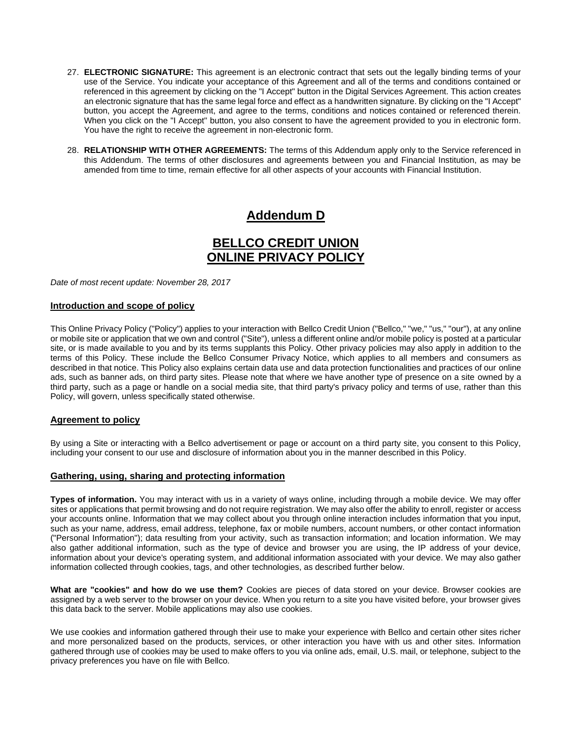- 27. **ELECTRONIC SIGNATURE:** This agreement is an electronic contract that sets out the legally binding terms of your use of the Service. You indicate your acceptance of this Agreement and all of the terms and conditions contained or referenced in this agreement by clicking on the "I Accept" button in the Digital Services Agreement. This action creates an electronic signature that has the same legal force and effect as a handwritten signature. By clicking on the "I Accept" button, you accept the Agreement, and agree to the terms, conditions and notices contained or referenced therein. When you click on the "I Accept" button, you also consent to have the agreement provided to you in electronic form. You have the right to receive the agreement in non-electronic form.
- 28. **RELATIONSHIP WITH OTHER AGREEMENTS:** The terms of this Addendum apply only to the Service referenced in this Addendum. The terms of other disclosures and agreements between you and Financial Institution, as may be amended from time to time, remain effective for all other aspects of your accounts with Financial Institution.

# **Addendum D**

# **BELLCO CREDIT UNION ONLINE PRIVACY POLICY**

*Date of most recent update: November 28, 2017*

### **Introduction and scope of policy**

This Online Privacy Policy ("Policy") applies to your interaction with Bellco Credit Union ("Bellco," "we," "us," "our"), at any online or mobile site or application that we own and control ("Site"), unless a different online and/or mobile policy is posted at a particular site, or is made available to you and by its terms supplants this Policy. Other privacy policies may also apply in addition to the terms of this Policy. These include the Bellco Consumer Privacy Notice, which applies to all members and consumers as described in that notice. This Policy also explains certain data use and data protection functionalities and practices of our online ads, such as banner ads, on third party sites. Please note that where we have another type of presence on a site owned by a third party, such as a page or handle on a social media site, that third party's privacy policy and terms of use, rather than this Policy, will govern, unless specifically stated otherwise.

### **Agreement to policy**

By using a Site or interacting with a Bellco advertisement or page or account on a third party site, you consent to this Policy, including your consent to our use and disclosure of information about you in the manner described in this Policy.

### **Gathering, using, sharing and protecting information**

**Types of information.** You may interact with us in a variety of ways online, including through a mobile device. We may offer sites or applications that permit browsing and do not require registration. We may also offer the ability to enroll, register or access your accounts online. Information that we may collect about you through online interaction includes information that you input, such as your name, address, email address, telephone, fax or mobile numbers, account numbers, or other contact information ("Personal Information"); data resulting from your activity, such as transaction information; and location information. We may also gather additional information, such as the type of device and browser you are using, the IP address of your device, information about your device's operating system, and additional information associated with your device. We may also gather information collected through cookies, tags, and other technologies, as described further below.

**What are "cookies" and how do we use them?** Cookies are pieces of data stored on your device. Browser cookies are assigned by a web server to the browser on your device. When you return to a site you have visited before, your browser gives this data back to the server. Mobile applications may also use cookies.

We use cookies and information gathered through their use to make your experience with Bellco and certain other sites richer and more personalized based on the products, services, or other interaction you have with us and other sites. Information gathered through use of cookies may be used to make offers to you via online ads, email, U.S. mail, or telephone, subject to the privacy preferences you have on file with Bellco.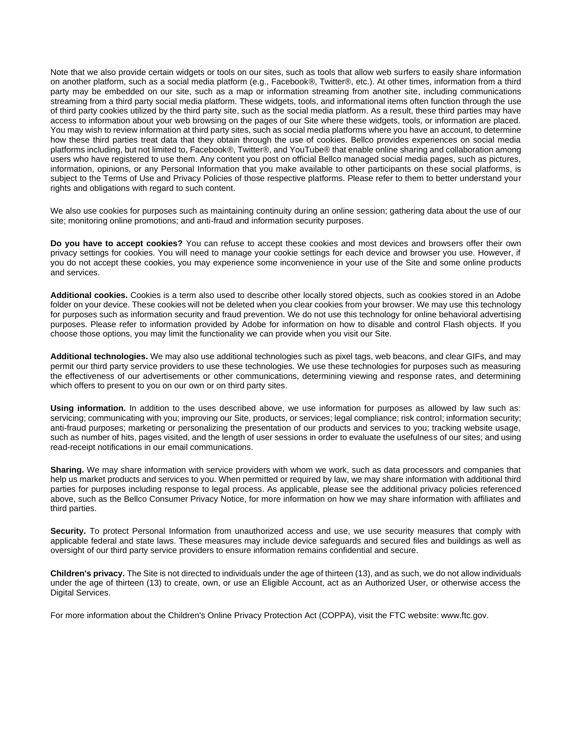Note that we also provide certain widgets or tools on our sites, such as tools that allow web surfers to easily share information on another platform, such as a social media platform (e.g., Facebook®, Twitter®, etc.). At other times, information from a third party may be embedded on our site, such as a map or information streaming from another site, including communications streaming from a third party social media platform. These widgets, tools, and informational items often function through the use of third party cookies utilized by the third party site, such as the social media platform. As a result, these third parties may have access to information about your web browsing on the pages of our Site where these widgets, tools, or information are placed. You may wish to review information at third party sites, such as social media platforms where you have an account, to determine how these third parties treat data that they obtain through the use of cookies. Bellco provides experiences on social media platforms including, but not limited to, Facebook®, Twitter®, and YouTube® that enable online sharing and collaboration among users who have registered to use them. Any content you post on official Bellco managed social media pages, such as pictures, information, opinions, or any Personal Information that you make available to other participants on these social platforms, is subject to the Terms of Use and Privacy Policies of those respective platforms. Please refer to them to better understand your rights and obligations with regard to such content.

We also use cookies for purposes such as maintaining continuity during an online session; gathering data about the use of our site; monitoring online promotions; and anti-fraud and information security purposes.

**Do you have to accept cookies?** You can refuse to accept these cookies and most devices and browsers offer their own privacy settings for cookies. You will need to manage your cookie settings for each device and browser you use. However, if you do not accept these cookies, you may experience some inconvenience in your use of the Site and some online products and services.

**Additional cookies.** Cookies is a term also used to describe other locally stored objects, such as cookies stored in an Adobe folder on your device. These cookies will not be deleted when you clear cookies from your browser. We may use this technology for purposes such as information security and fraud prevention. We do not use this technology for online behavioral advertising purposes. Please refer to information provided by Adobe for information on how to disable and control Flash objects. If you choose those options, you may limit the functionality we can provide when you visit our Site.

**Additional technologies.** We may also use additional technologies such as pixel tags, web beacons, and clear GIFs, and may permit our third party service providers to use these technologies. We use these technologies for purposes such as measuring the effectiveness of our advertisements or other communications, determining viewing and response rates, and determining which offers to present to you on our own or on third party sites.

**Using information.** In addition to the uses described above, we use information for purposes as allowed by law such as: servicing; communicating with you; improving our Site, products, or services; legal compliance; risk control; information security; anti-fraud purposes; marketing or personalizing the presentation of our products and services to you; tracking website usage, such as number of hits, pages visited, and the length of user sessions in order to evaluate the usefulness of our sites; and using read-receipt notifications in our email communications.

**Sharing.** We may share information with service providers with whom we work, such as data processors and companies that help us market products and services to you. When permitted or required by law, we may share information with additional third parties for purposes including response to legal process. As applicable, please see the additional privacy policies referenced above, such as the Bellco Consumer Privacy Notice, for more information on how we may share information with affiliates and third parties.

**Security.** To protect Personal Information from unauthorized access and use, we use security measures that comply with applicable federal and state laws. These measures may include device safeguards and secured files and buildings as well as oversight of our third party service providers to ensure information remains confidential and secure.

**Children's privacy.** The Site is not directed to individuals under the age of thirteen (13), and as such, we do not allow individuals under the age of thirteen (13) to create, own, or use an Eligible Account, act as an Authorized User, or otherwise access the Digital Services.

For more information about the Children's Online Privacy Protection Act (COPPA), visit the FTC website: www.ftc.gov.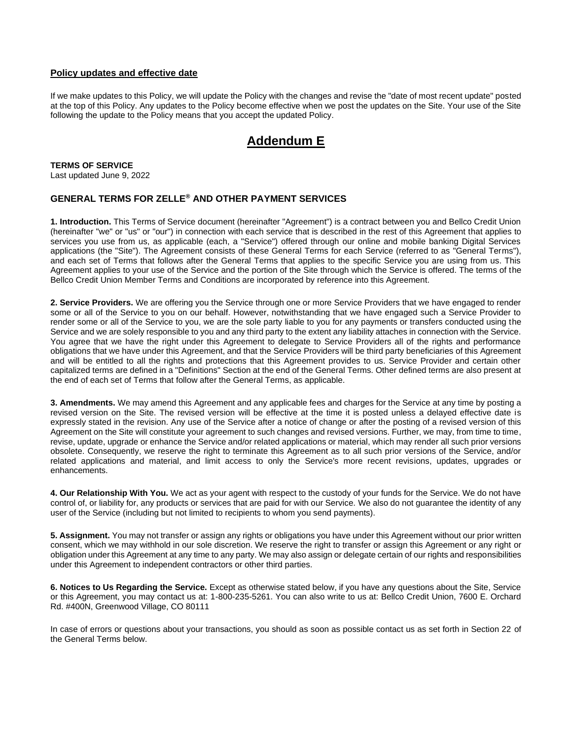### **Policy updates and effective date**

If we make updates to this Policy, we will update the Policy with the changes and revise the "date of most recent update" posted at the top of this Policy. Any updates to the Policy become effective when we post the updates on the Site. Your use of the Site following the update to the Policy means that you accept the updated Policy.

### **Addendum E**

**TERMS OF SERVICE** Last updated June 9, 2022

### **GENERAL TERMS FOR ZELLE® AND OTHER PAYMENT SERVICES**

**1. Introduction.** This Terms of Service document (hereinafter "Agreement") is a contract between you and Bellco Credit Union (hereinafter "we" or "us" or "our") in connection with each service that is described in the rest of this Agreement that applies to services you use from us, as applicable (each, a "Service") offered through our online and mobile banking Digital Services applications (the "Site"). The Agreement consists of these General Terms for each Service (referred to as "General Terms"), and each set of Terms that follows after the General Terms that applies to the specific Service you are using from us. This Agreement applies to your use of the Service and the portion of the Site through which the Service is offered. The terms of the Bellco Credit Union Member Terms and Conditions are incorporated by reference into this Agreement.

**2. Service Providers.** We are offering you the Service through one or more Service Providers that we have engaged to render some or all of the Service to you on our behalf. However, notwithstanding that we have engaged such a Service Provider to render some or all of the Service to you, we are the sole party liable to you for any payments or transfers conducted using the Service and we are solely responsible to you and any third party to the extent any liability attaches in connection with the Service. You agree that we have the right under this Agreement to delegate to Service Providers all of the rights and performance obligations that we have under this Agreement, and that the Service Providers will be third party beneficiaries of this Agreement and will be entitled to all the rights and protections that this Agreement provides to us. Service Provider and certain other capitalized terms are defined in a "Definitions" Section at the end of the General Terms. Other defined terms are also present at the end of each set of Terms that follow after the General Terms, as applicable.

**3. Amendments.** We may amend this Agreement and any applicable fees and charges for the Service at any time by posting a revised version on the Site. The revised version will be effective at the time it is posted unless a delayed effective date is expressly stated in the revision. Any use of the Service after a notice of change or after the posting of a revised version of this Agreement on the Site will constitute your agreement to such changes and revised versions. Further, we may, from time to time, revise, update, upgrade or enhance the Service and/or related applications or material, which may render all such prior versions obsolete. Consequently, we reserve the right to terminate this Agreement as to all such prior versions of the Service, and/or related applications and material, and limit access to only the Service's more recent revisions, updates, upgrades or enhancements.

**4. Our Relationship With You.** We act as your agent with respect to the custody of your funds for the Service. We do not have control of, or liability for, any products or services that are paid for with our Service. We also do not guarantee the identity of any user of the Service (including but not limited to recipients to whom you send payments).

**5. Assignment.** You may not transfer or assign any rights or obligations you have under this Agreement without our prior written consent, which we may withhold in our sole discretion. We reserve the right to transfer or assign this Agreement or any right or obligation under this Agreement at any time to any party. We may also assign or delegate certain of our rights and responsibilities under this Agreement to independent contractors or other third parties.

**6. Notices to Us Regarding the Service.** Except as otherwise stated below, if you have any questions about the Site, Service or this Agreement, you may contact us at: 1-800-235-5261. You can also write to us at: Bellco Credit Union, 7600 E. Orchard Rd. #400N, Greenwood Village, CO 80111

In case of errors or questions about your transactions, you should as soon as possible contact us as set forth in Section 22 of the General Terms below.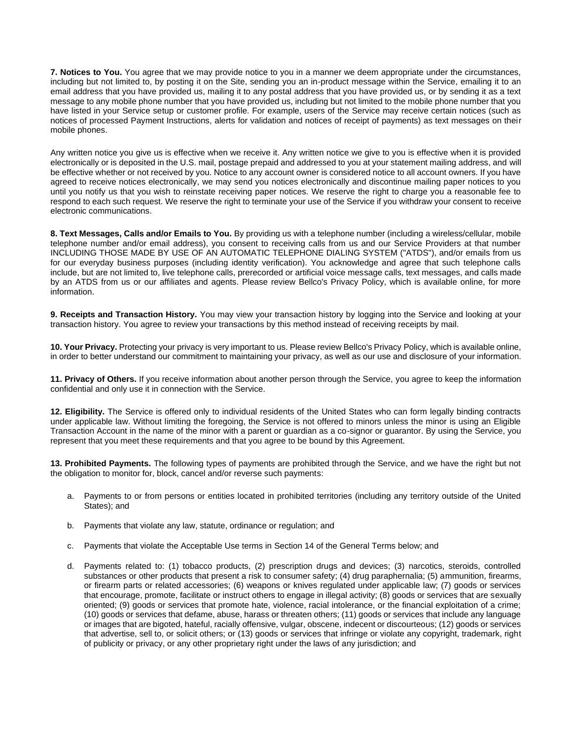**7. Notices to You.** You agree that we may provide notice to you in a manner we deem appropriate under the circumstances, including but not limited to, by posting it on the Site, sending you an in-product message within the Service, emailing it to an email address that you have provided us, mailing it to any postal address that you have provided us, or by sending it as a text message to any mobile phone number that you have provided us, including but not limited to the mobile phone number that you have listed in your Service setup or customer profile. For example, users of the Service may receive certain notices (such as notices of processed Payment Instructions, alerts for validation and notices of receipt of payments) as text messages on their mobile phones.

Any written notice you give us is effective when we receive it. Any written notice we give to you is effective when it is provided electronically or is deposited in the U.S. mail, postage prepaid and addressed to you at your statement mailing address, and will be effective whether or not received by you. Notice to any account owner is considered notice to all account owners. If you have agreed to receive notices electronically, we may send you notices electronically and discontinue mailing paper notices to you until you notify us that you wish to reinstate receiving paper notices. We reserve the right to charge you a reasonable fee to respond to each such request. We reserve the right to terminate your use of the Service if you withdraw your consent to receive electronic communications.

**8. Text Messages, Calls and/or Emails to You.** By providing us with a telephone number (including a wireless/cellular, mobile telephone number and/or email address), you consent to receiving calls from us and our Service Providers at that number INCLUDING THOSE MADE BY USE OF AN AUTOMATIC TELEPHONE DIALING SYSTEM ("ATDS"), and/or emails from us for our everyday business purposes (including identity verification). You acknowledge and agree that such telephone calls include, but are not limited to, live telephone calls, prerecorded or artificial voice message calls, text messages, and calls made by an ATDS from us or our affiliates and agents. Please review Bellco's Privacy Policy, which is available online, for more information.

**9. Receipts and Transaction History.** You may view your transaction history by logging into the Service and looking at your transaction history. You agree to review your transactions by this method instead of receiving receipts by mail.

**10. Your Privacy.** Protecting your privacy is very important to us. Please review Bellco's Privacy Policy, which is available online, in order to better understand our commitment to maintaining your privacy, as well as our use and disclosure of your information.

**11. Privacy of Others.** If you receive information about another person through the Service, you agree to keep the information confidential and only use it in connection with the Service.

**12. Eligibility.** The Service is offered only to individual residents of the United States who can form legally binding contracts under applicable law. Without limiting the foregoing, the Service is not offered to minors unless the minor is using an Eligible Transaction Account in the name of the minor with a parent or guardian as a co-signor or guarantor. By using the Service, you represent that you meet these requirements and that you agree to be bound by this Agreement.

**13. Prohibited Payments.** The following types of payments are prohibited through the Service, and we have the right but not the obligation to monitor for, block, cancel and/or reverse such payments:

- a. Payments to or from persons or entities located in prohibited territories (including any territory outside of the United States); and
- b. Payments that violate any law, statute, ordinance or regulation; and
- c. Payments that violate the Acceptable Use terms in Section 14 of the General Terms below; and
- d. Payments related to: (1) tobacco products, (2) prescription drugs and devices; (3) narcotics, steroids, controlled substances or other products that present a risk to consumer safety; (4) drug paraphernalia; (5) ammunition, firearms, or firearm parts or related accessories; (6) weapons or knives regulated under applicable law; (7) goods or services that encourage, promote, facilitate or instruct others to engage in illegal activity; (8) goods or services that are sexually oriented; (9) goods or services that promote hate, violence, racial intolerance, or the financial exploitation of a crime; (10) goods or services that defame, abuse, harass or threaten others; (11) goods or services that include any language or images that are bigoted, hateful, racially offensive, vulgar, obscene, indecent or discourteous; (12) goods or services that advertise, sell to, or solicit others; or (13) goods or services that infringe or violate any copyright, trademark, right of publicity or privacy, or any other proprietary right under the laws of any jurisdiction; and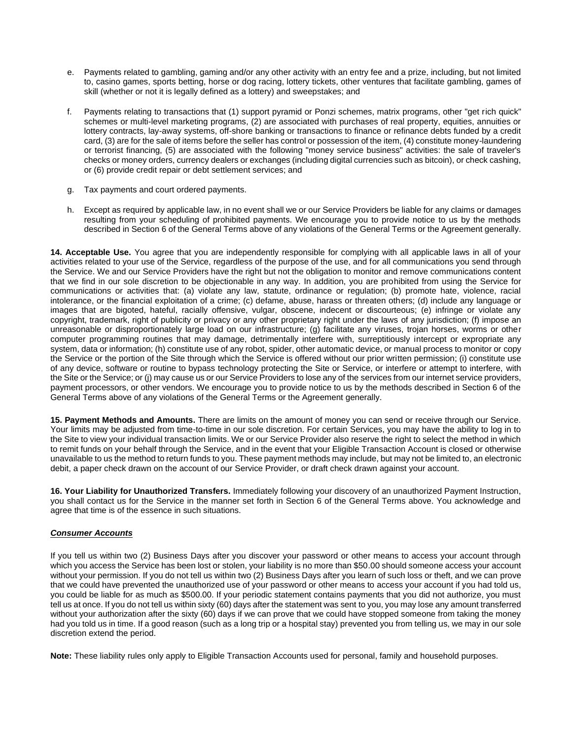- e. Payments related to gambling, gaming and/or any other activity with an entry fee and a prize, including, but not limited to, casino games, sports betting, horse or dog racing, lottery tickets, other ventures that facilitate gambling, games of skill (whether or not it is legally defined as a lottery) and sweepstakes; and
- f. Payments relating to transactions that (1) support pyramid or Ponzi schemes, matrix programs, other "get rich quick" schemes or multi-level marketing programs, (2) are associated with purchases of real property, equities, annuities or lottery contracts, lay-away systems, off-shore banking or transactions to finance or refinance debts funded by a credit card, (3) are for the sale of items before the seller has control or possession of the item, (4) constitute money-laundering or terrorist financing, (5) are associated with the following "money service business" activities: the sale of traveler's checks or money orders, currency dealers or exchanges (including digital currencies such as bitcoin), or check cashing, or (6) provide credit repair or debt settlement services; and
- g. Tax payments and court ordered payments.
- h. Except as required by applicable law, in no event shall we or our Service Providers be liable for any claims or damages resulting from your scheduling of prohibited payments. We encourage you to provide notice to us by the methods described in Section 6 of the General Terms above of any violations of the General Terms or the Agreement generally.

**14. Acceptable Use.** You agree that you are independently responsible for complying with all applicable laws in all of your activities related to your use of the Service, regardless of the purpose of the use, and for all communications you send through the Service. We and our Service Providers have the right but not the obligation to monitor and remove communications content that we find in our sole discretion to be objectionable in any way. In addition, you are prohibited from using the Service for communications or activities that: (a) violate any law, statute, ordinance or regulation; (b) promote hate, violence, racial intolerance, or the financial exploitation of a crime; (c) defame, abuse, harass or threaten others; (d) include any language or images that are bigoted, hateful, racially offensive, vulgar, obscene, indecent or discourteous; (e) infringe or violate any copyright, trademark, right of publicity or privacy or any other proprietary right under the laws of any jurisdiction; (f) impose an unreasonable or disproportionately large load on our infrastructure; (g) facilitate any viruses, trojan horses, worms or other computer programming routines that may damage, detrimentally interfere with, surreptitiously intercept or expropriate any system, data or information; (h) constitute use of any robot, spider, other automatic device, or manual process to monitor or copy the Service or the portion of the Site through which the Service is offered without our prior written permission; (i) constitute use of any device, software or routine to bypass technology protecting the Site or Service, or interfere or attempt to interfere, with the Site or the Service; or (j) may cause us or our Service Providers to lose any of the services from our internet service providers, payment processors, or other vendors. We encourage you to provide notice to us by the methods described in Section 6 of the General Terms above of any violations of the General Terms or the Agreement generally.

**15. Payment Methods and Amounts.** There are limits on the amount of money you can send or receive through our Service. Your limits may be adjusted from time-to-time in our sole discretion. For certain Services, you may have the ability to log in to the Site to view your individual transaction limits. We or our Service Provider also reserve the right to select the method in which to remit funds on your behalf through the Service, and in the event that your Eligible Transaction Account is closed or otherwise unavailable to us the method to return funds to you. These payment methods may include, but may not be limited to, an electronic debit, a paper check drawn on the account of our Service Provider, or draft check drawn against your account.

**16. Your Liability for Unauthorized Transfers.** Immediately following your discovery of an unauthorized Payment Instruction, you shall contact us for the Service in the manner set forth in Section 6 of the General Terms above. You acknowledge and agree that time is of the essence in such situations.

### *Consumer Accounts*

If you tell us within two (2) Business Days after you discover your password or other means to access your account through which you access the Service has been lost or stolen, your liability is no more than \$50.00 should someone access your account without your permission. If you do not tell us within two (2) Business Days after you learn of such loss or theft, and we can prove that we could have prevented the unauthorized use of your password or other means to access your account if you had told us, you could be liable for as much as \$500.00. If your periodic statement contains payments that you did not authorize, you must tell us at once. If you do not tell us within sixty (60) days after the statement was sent to you, you may lose any amount transferred without your authorization after the sixty (60) days if we can prove that we could have stopped someone from taking the money had you told us in time. If a good reason (such as a long trip or a hospital stay) prevented you from telling us, we may in our sole discretion extend the period.

**Note:** These liability rules only apply to Eligible Transaction Accounts used for personal, family and household purposes.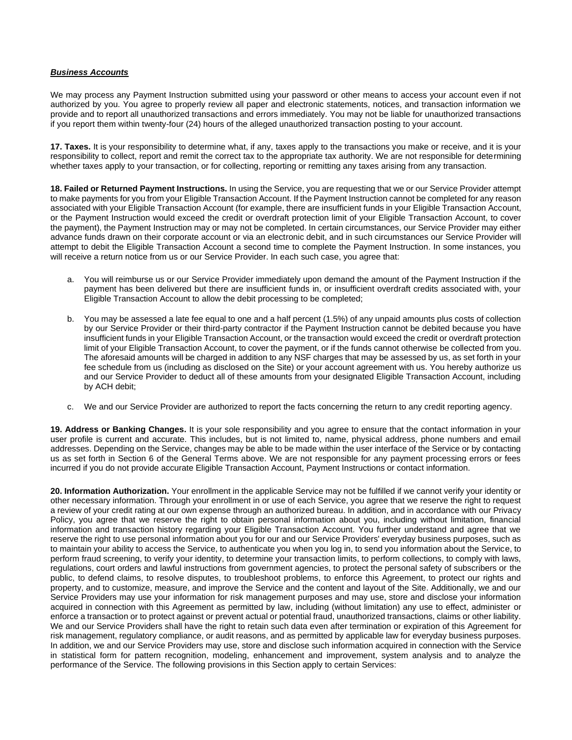#### *Business Accounts*

We may process any Payment Instruction submitted using your password or other means to access your account even if not authorized by you. You agree to properly review all paper and electronic statements, notices, and transaction information we provide and to report all unauthorized transactions and errors immediately. You may not be liable for unauthorized transactions if you report them within twenty-four (24) hours of the alleged unauthorized transaction posting to your account.

**17. Taxes.** It is your responsibility to determine what, if any, taxes apply to the transactions you make or receive, and it is your responsibility to collect, report and remit the correct tax to the appropriate tax authority. We are not responsible for determining whether taxes apply to your transaction, or for collecting, reporting or remitting any taxes arising from any transaction.

**18. Failed or Returned Payment Instructions.** In using the Service, you are requesting that we or our Service Provider attempt to make payments for you from your Eligible Transaction Account. If the Payment Instruction cannot be completed for any reason associated with your Eligible Transaction Account (for example, there are insufficient funds in your Eligible Transaction Account, or the Payment Instruction would exceed the credit or overdraft protection limit of your Eligible Transaction Account, to cover the payment), the Payment Instruction may or may not be completed. In certain circumstances, our Service Provider may either advance funds drawn on their corporate account or via an electronic debit, and in such circumstances our Service Provider will attempt to debit the Eligible Transaction Account a second time to complete the Payment Instruction. In some instances, you will receive a return notice from us or our Service Provider. In each such case, you agree that:

- a. You will reimburse us or our Service Provider immediately upon demand the amount of the Payment Instruction if the payment has been delivered but there are insufficient funds in, or insufficient overdraft credits associated with, your Eligible Transaction Account to allow the debit processing to be completed;
- b. You may be assessed a late fee equal to one and a half percent (1.5%) of any unpaid amounts plus costs of collection by our Service Provider or their third-party contractor if the Payment Instruction cannot be debited because you have insufficient funds in your Eligible Transaction Account, or the transaction would exceed the credit or overdraft protection limit of your Eligible Transaction Account, to cover the payment, or if the funds cannot otherwise be collected from you. The aforesaid amounts will be charged in addition to any NSF charges that may be assessed by us, as set forth in your fee schedule from us (including as disclosed on the Site) or your account agreement with us. You hereby authorize us and our Service Provider to deduct all of these amounts from your designated Eligible Transaction Account, including by ACH debit;
- c. We and our Service Provider are authorized to report the facts concerning the return to any credit reporting agency.

**19. Address or Banking Changes.** It is your sole responsibility and you agree to ensure that the contact information in your user profile is current and accurate. This includes, but is not limited to, name, physical address, phone numbers and email addresses. Depending on the Service, changes may be able to be made within the user interface of the Service or by contacting us as set forth in Section 6 of the General Terms above. We are not responsible for any payment processing errors or fees incurred if you do not provide accurate Eligible Transaction Account, Payment Instructions or contact information.

**20. Information Authorization.** Your enrollment in the applicable Service may not be fulfilled if we cannot verify your identity or other necessary information. Through your enrollment in or use of each Service, you agree that we reserve the right to request a review of your credit rating at our own expense through an authorized bureau. In addition, and in accordance with our Privacy Policy, you agree that we reserve the right to obtain personal information about you, including without limitation, financial information and transaction history regarding your Eligible Transaction Account. You further understand and agree that we reserve the right to use personal information about you for our and our Service Providers' everyday business purposes, such as to maintain your ability to access the Service, to authenticate you when you log in, to send you information about the Service, to perform fraud screening, to verify your identity, to determine your transaction limits, to perform collections, to comply with laws, regulations, court orders and lawful instructions from government agencies, to protect the personal safety of subscribers or the public, to defend claims, to resolve disputes, to troubleshoot problems, to enforce this Agreement, to protect our rights and property, and to customize, measure, and improve the Service and the content and layout of the Site. Additionally, we and our Service Providers may use your information for risk management purposes and may use, store and disclose your information acquired in connection with this Agreement as permitted by law, including (without limitation) any use to effect, administer or enforce a transaction or to protect against or prevent actual or potential fraud, unauthorized transactions, claims or other liability. We and our Service Providers shall have the right to retain such data even after termination or expiration of this Agreement for risk management, regulatory compliance, or audit reasons, and as permitted by applicable law for everyday business purposes. In addition, we and our Service Providers may use, store and disclose such information acquired in connection with the Service in statistical form for pattern recognition, modeling, enhancement and improvement, system analysis and to analyze the performance of the Service. The following provisions in this Section apply to certain Services: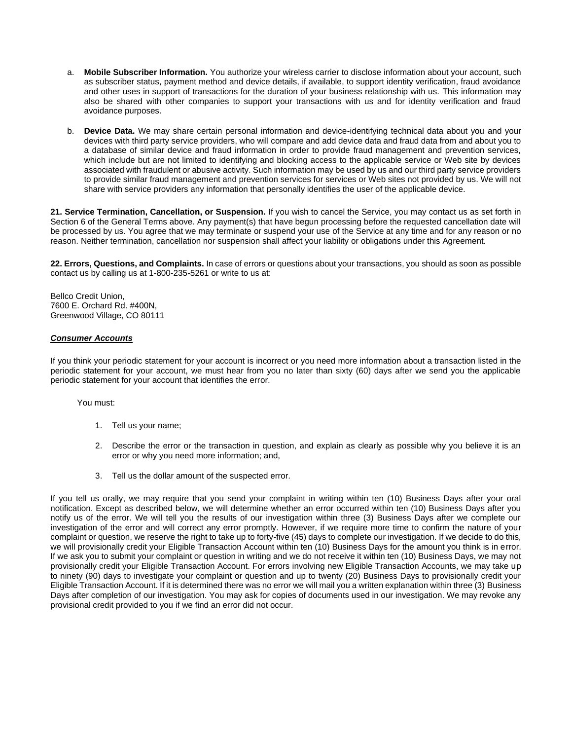- a. **Mobile Subscriber Information.** You authorize your wireless carrier to disclose information about your account, such as subscriber status, payment method and device details, if available, to support identity verification, fraud avoidance and other uses in support of transactions for the duration of your business relationship with us. This information may also be shared with other companies to support your transactions with us and for identity verification and fraud avoidance purposes.
- b. **Device Data.** We may share certain personal information and device-identifying technical data about you and your devices with third party service providers, who will compare and add device data and fraud data from and about you to a database of similar device and fraud information in order to provide fraud management and prevention services, which include but are not limited to identifying and blocking access to the applicable service or Web site by devices associated with fraudulent or abusive activity. Such information may be used by us and our third party service providers to provide similar fraud management and prevention services for services or Web sites not provided by us. We will not share with service providers any information that personally identifies the user of the applicable device.

**21. Service Termination, Cancellation, or Suspension.** If you wish to cancel the Service, you may contact us as set forth in Section 6 of the General Terms above. Any payment(s) that have begun processing before the requested cancellation date will be processed by us. You agree that we may terminate or suspend your use of the Service at any time and for any reason or no reason. Neither termination, cancellation nor suspension shall affect your liability or obligations under this Agreement.

**22. Errors, Questions, and Complaints.** In case of errors or questions about your transactions, you should as soon as possible contact us by calling us at 1-800-235-5261 or write to us at:

Bellco Credit Union, 7600 E. Orchard Rd. #400N, Greenwood Village, CO 80111

### *Consumer Accounts*

If you think your periodic statement for your account is incorrect or you need more information about a transaction listed in the periodic statement for your account, we must hear from you no later than sixty (60) days after we send you the applicable periodic statement for your account that identifies the error.

You must:

- 1. Tell us your name;
- 2. Describe the error or the transaction in question, and explain as clearly as possible why you believe it is an error or why you need more information; and,
- 3. Tell us the dollar amount of the suspected error.

If you tell us orally, we may require that you send your complaint in writing within ten (10) Business Days after your oral notification. Except as described below, we will determine whether an error occurred within ten (10) Business Days after you notify us of the error. We will tell you the results of our investigation within three (3) Business Days after we complete our investigation of the error and will correct any error promptly. However, if we require more time to confirm the nature of your complaint or question, we reserve the right to take up to forty-five (45) days to complete our investigation. If we decide to do this, we will provisionally credit your Eligible Transaction Account within ten (10) Business Days for the amount you think is in error. If we ask you to submit your complaint or question in writing and we do not receive it within ten (10) Business Days, we may not provisionally credit your Eligible Transaction Account. For errors involving new Eligible Transaction Accounts, we may take up to ninety (90) days to investigate your complaint or question and up to twenty (20) Business Days to provisionally credit your Eligible Transaction Account. If it is determined there was no error we will mail you a written explanation within three (3) Business Days after completion of our investigation. You may ask for copies of documents used in our investigation. We may revoke any provisional credit provided to you if we find an error did not occur.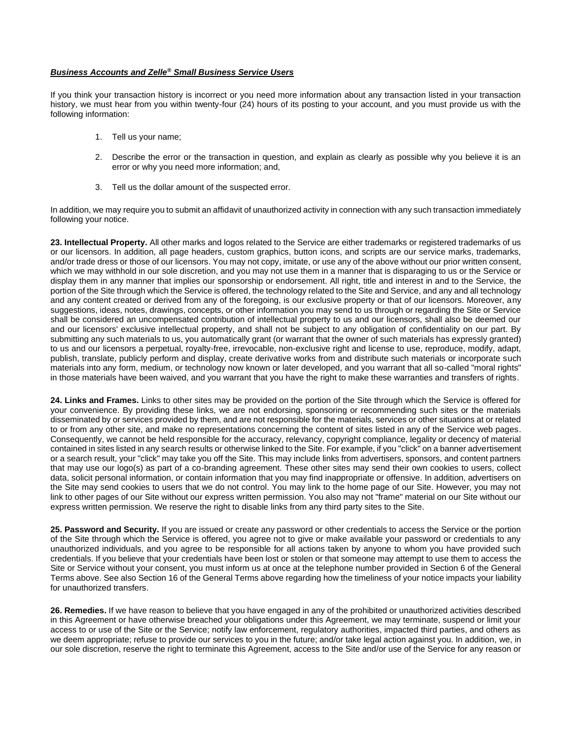### *Business Accounts and Zelle® Small Business Service Users*

If you think your transaction history is incorrect or you need more information about any transaction listed in your transaction history, we must hear from you within twenty-four (24) hours of its posting to your account, and you must provide us with the following information:

- 1. Tell us your name;
- 2. Describe the error or the transaction in question, and explain as clearly as possible why you believe it is an error or why you need more information; and,
- 3. Tell us the dollar amount of the suspected error.

In addition, we may require you to submit an affidavit of unauthorized activity in connection with any such transaction immediately following your notice.

**23. Intellectual Property.** All other marks and logos related to the Service are either trademarks or registered trademarks of us or our licensors. In addition, all page headers, custom graphics, button icons, and scripts are our service marks, trademarks, and/or trade dress or those of our licensors. You may not copy, imitate, or use any of the above without our prior written consent, which we may withhold in our sole discretion, and you may not use them in a manner that is disparaging to us or the Service or display them in any manner that implies our sponsorship or endorsement. All right, title and interest in and to the Service, the portion of the Site through which the Service is offered, the technology related to the Site and Service, and any and all technology and any content created or derived from any of the foregoing, is our exclusive property or that of our licensors. Moreover, any suggestions, ideas, notes, drawings, concepts, or other information you may send to us through or regarding the Site or Service shall be considered an uncompensated contribution of intellectual property to us and our licensors, shall also be deemed our and our licensors' exclusive intellectual property, and shall not be subject to any obligation of confidentiality on our part. By submitting any such materials to us, you automatically grant (or warrant that the owner of such materials has expressly granted) to us and our licensors a perpetual, royalty-free, irrevocable, non-exclusive right and license to use, reproduce, modify, adapt, publish, translate, publicly perform and display, create derivative works from and distribute such materials or incorporate such materials into any form, medium, or technology now known or later developed, and you warrant that all so-called "moral rights" in those materials have been waived, and you warrant that you have the right to make these warranties and transfers of rights.

**24. Links and Frames.** Links to other sites may be provided on the portion of the Site through which the Service is offered for your convenience. By providing these links, we are not endorsing, sponsoring or recommending such sites or the materials disseminated by or services provided by them, and are not responsible for the materials, services or other situations at or related to or from any other site, and make no representations concerning the content of sites listed in any of the Service web pages. Consequently, we cannot be held responsible for the accuracy, relevancy, copyright compliance, legality or decency of material contained in sites listed in any search results or otherwise linked to the Site. For example, if you "click" on a banner advertisement or a search result, your "click" may take you off the Site. This may include links from advertisers, sponsors, and content partners that may use our logo(s) as part of a co-branding agreement. These other sites may send their own cookies to users, collect data, solicit personal information, or contain information that you may find inappropriate or offensive. In addition, advertisers on the Site may send cookies to users that we do not control. You may link to the home page of our Site. However, you may not link to other pages of our Site without our express written permission. You also may not "frame" material on our Site without our express written permission. We reserve the right to disable links from any third party sites to the Site.

**25. Password and Security.** If you are issued or create any password or other credentials to access the Service or the portion of the Site through which the Service is offered, you agree not to give or make available your password or credentials to any unauthorized individuals, and you agree to be responsible for all actions taken by anyone to whom you have provided such credentials. If you believe that your credentials have been lost or stolen or that someone may attempt to use them to access the Site or Service without your consent, you must inform us at once at the telephone number provided in Section 6 of the General Terms above. See also Section 16 of the General Terms above regarding how the timeliness of your notice impacts your liability for unauthorized transfers.

**26. Remedies.** If we have reason to believe that you have engaged in any of the prohibited or unauthorized activities described in this Agreement or have otherwise breached your obligations under this Agreement, we may terminate, suspend or limit your access to or use of the Site or the Service; notify law enforcement, regulatory authorities, impacted third parties, and others as we deem appropriate; refuse to provide our services to you in the future; and/or take legal action against you. In addition, we, in our sole discretion, reserve the right to terminate this Agreement, access to the Site and/or use of the Service for any reason or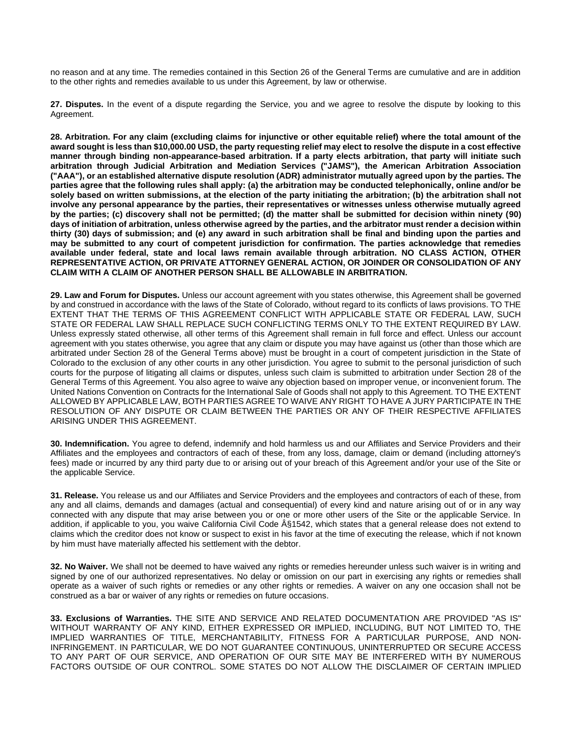no reason and at any time. The remedies contained in this Section 26 of the General Terms are cumulative and are in addition to the other rights and remedies available to us under this Agreement, by law or otherwise.

**27. Disputes.** In the event of a dispute regarding the Service, you and we agree to resolve the dispute by looking to this Agreement.

**28. Arbitration. For any claim (excluding claims for injunctive or other equitable relief) where the total amount of the award sought is less than \$10,000.00 USD, the party requesting relief may elect to resolve the dispute in a cost effective manner through binding non-appearance-based arbitration. If a party elects arbitration, that party will initiate such arbitration through Judicial Arbitration and Mediation Services ("JAMS"), the American Arbitration Association ("AAA"), or an established alternative dispute resolution (ADR) administrator mutually agreed upon by the parties. The parties agree that the following rules shall apply: (a) the arbitration may be conducted telephonically, online and/or be solely based on written submissions, at the election of the party initiating the arbitration; (b) the arbitration shall not involve any personal appearance by the parties, their representatives or witnesses unless otherwise mutually agreed by the parties; (c) discovery shall not be permitted; (d) the matter shall be submitted for decision within ninety (90) days of initiation of arbitration, unless otherwise agreed by the parties, and the arbitrator must render a decision within thirty (30) days of submission; and (e) any award in such arbitration shall be final and binding upon the parties and may be submitted to any court of competent jurisdiction for confirmation. The parties acknowledge that remedies available under federal, state and local laws remain available through arbitration. NO CLASS ACTION, OTHER REPRESENTATIVE ACTION, OR PRIVATE ATTORNEY GENERAL ACTION, OR JOINDER OR CONSOLIDATION OF ANY CLAIM WITH A CLAIM OF ANOTHER PERSON SHALL BE ALLOWABLE IN ARBITRATION.**

**29. Law and Forum for Disputes.** Unless our account agreement with you states otherwise, this Agreement shall be governed by and construed in accordance with the laws of the State of Colorado, without regard to its conflicts of laws provisions. TO THE EXTENT THAT THE TERMS OF THIS AGREEMENT CONFLICT WITH APPLICABLE STATE OR FEDERAL LAW, SUCH STATE OR FEDERAL LAW SHALL REPLACE SUCH CONFLICTING TERMS ONLY TO THE EXTENT REQUIRED BY LAW. Unless expressly stated otherwise, all other terms of this Agreement shall remain in full force and effect. Unless our account agreement with you states otherwise, you agree that any claim or dispute you may have against us (other than those which are arbitrated under Section 28 of the General Terms above) must be brought in a court of competent jurisdiction in the State of Colorado to the exclusion of any other courts in any other jurisdiction. You agree to submit to the personal jurisdiction of such courts for the purpose of litigating all claims or disputes, unless such claim is submitted to arbitration under Section 28 of the General Terms of this Agreement. You also agree to waive any objection based on improper venue, or inconvenient forum. The United Nations Convention on Contracts for the International Sale of Goods shall not apply to this Agreement. TO THE EXTENT ALLOWED BY APPLICABLE LAW, BOTH PARTIES AGREE TO WAIVE ANY RIGHT TO HAVE A JURY PARTICIPATE IN THE RESOLUTION OF ANY DISPUTE OR CLAIM BETWEEN THE PARTIES OR ANY OF THEIR RESPECTIVE AFFILIATES ARISING UNDER THIS AGREEMENT.

**30. Indemnification.** You agree to defend, indemnify and hold harmless us and our Affiliates and Service Providers and their Affiliates and the employees and contractors of each of these, from any loss, damage, claim or demand (including attorney's fees) made or incurred by any third party due to or arising out of your breach of this Agreement and/or your use of the Site or the applicable Service.

**31. Release.** You release us and our Affiliates and Service Providers and the employees and contractors of each of these, from any and all claims, demands and damages (actual and consequential) of every kind and nature arising out of or in any way connected with any dispute that may arise between you or one or more other users of the Site or the applicable Service. In addition, if applicable to you, you waive California Civil Code §1542, which states that a general release does not extend to claims which the creditor does not know or suspect to exist in his favor at the time of executing the release, which if not known by him must have materially affected his settlement with the debtor.

**32. No Waiver.** We shall not be deemed to have waived any rights or remedies hereunder unless such waiver is in writing and signed by one of our authorized representatives. No delay or omission on our part in exercising any rights or remedies shall operate as a waiver of such rights or remedies or any other rights or remedies. A waiver on any one occasion shall not be construed as a bar or waiver of any rights or remedies on future occasions.

**33. Exclusions of Warranties.** THE SITE AND SERVICE AND RELATED DOCUMENTATION ARE PROVIDED "AS IS" WITHOUT WARRANTY OF ANY KIND, EITHER EXPRESSED OR IMPLIED, INCLUDING, BUT NOT LIMITED TO, THE IMPLIED WARRANTIES OF TITLE, MERCHANTABILITY, FITNESS FOR A PARTICULAR PURPOSE, AND NON-INFRINGEMENT. IN PARTICULAR, WE DO NOT GUARANTEE CONTINUOUS, UNINTERRUPTED OR SECURE ACCESS TO ANY PART OF OUR SERVICE, AND OPERATION OF OUR SITE MAY BE INTERFERED WITH BY NUMEROUS FACTORS OUTSIDE OF OUR CONTROL. SOME STATES DO NOT ALLOW THE DISCLAIMER OF CERTAIN IMPLIED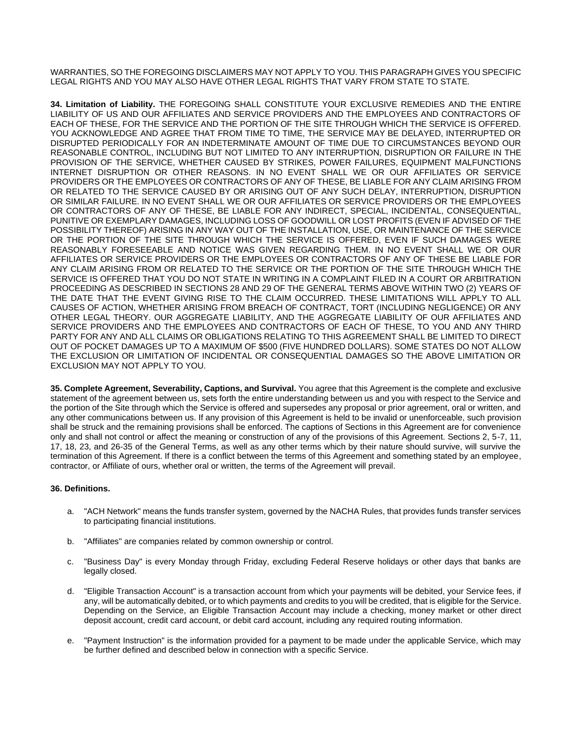WARRANTIES, SO THE FOREGOING DISCLAIMERS MAY NOT APPLY TO YOU. THIS PARAGRAPH GIVES YOU SPECIFIC LEGAL RIGHTS AND YOU MAY ALSO HAVE OTHER LEGAL RIGHTS THAT VARY FROM STATE TO STATE.

**34. Limitation of Liability.** THE FOREGOING SHALL CONSTITUTE YOUR EXCLUSIVE REMEDIES AND THE ENTIRE LIABILITY OF US AND OUR AFFILIATES AND SERVICE PROVIDERS AND THE EMPLOYEES AND CONTRACTORS OF EACH OF THESE, FOR THE SERVICE AND THE PORTION OF THE SITE THROUGH WHICH THE SERVICE IS OFFERED. YOU ACKNOWLEDGE AND AGREE THAT FROM TIME TO TIME, THE SERVICE MAY BE DELAYED, INTERRUPTED OR DISRUPTED PERIODICALLY FOR AN INDETERMINATE AMOUNT OF TIME DUE TO CIRCUMSTANCES BEYOND OUR REASONABLE CONTROL, INCLUDING BUT NOT LIMITED TO ANY INTERRUPTION, DISRUPTION OR FAILURE IN THE PROVISION OF THE SERVICE, WHETHER CAUSED BY STRIKES, POWER FAILURES, EQUIPMENT MALFUNCTIONS INTERNET DISRUPTION OR OTHER REASONS. IN NO EVENT SHALL WE OR OUR AFFILIATES OR SERVICE PROVIDERS OR THE EMPLOYEES OR CONTRACTORS OF ANY OF THESE, BE LIABLE FOR ANY CLAIM ARISING FROM OR RELATED TO THE SERVICE CAUSED BY OR ARISING OUT OF ANY SUCH DELAY, INTERRUPTION, DISRUPTION OR SIMILAR FAILURE. IN NO EVENT SHALL WE OR OUR AFFILIATES OR SERVICE PROVIDERS OR THE EMPLOYEES OR CONTRACTORS OF ANY OF THESE, BE LIABLE FOR ANY INDIRECT, SPECIAL, INCIDENTAL, CONSEQUENTIAL, PUNITIVE OR EXEMPLARY DAMAGES, INCLUDING LOSS OF GOODWILL OR LOST PROFITS (EVEN IF ADVISED OF THE POSSIBILITY THEREOF) ARISING IN ANY WAY OUT OF THE INSTALLATION, USE, OR MAINTENANCE OF THE SERVICE OR THE PORTION OF THE SITE THROUGH WHICH THE SERVICE IS OFFERED, EVEN IF SUCH DAMAGES WERE REASONABLY FORESEEABLE AND NOTICE WAS GIVEN REGARDING THEM. IN NO EVENT SHALL WE OR OUR AFFILIATES OR SERVICE PROVIDERS OR THE EMPLOYEES OR CONTRACTORS OF ANY OF THESE BE LIABLE FOR ANY CLAIM ARISING FROM OR RELATED TO THE SERVICE OR THE PORTION OF THE SITE THROUGH WHICH THE SERVICE IS OFFERED THAT YOU DO NOT STATE IN WRITING IN A COMPLAINT FILED IN A COURT OR ARBITRATION PROCEEDING AS DESCRIBED IN SECTIONS 28 AND 29 OF THE GENERAL TERMS ABOVE WITHIN TWO (2) YEARS OF THE DATE THAT THE EVENT GIVING RISE TO THE CLAIM OCCURRED. THESE LIMITATIONS WILL APPLY TO ALL CAUSES OF ACTION, WHETHER ARISING FROM BREACH OF CONTRACT, TORT (INCLUDING NEGLIGENCE) OR ANY OTHER LEGAL THEORY. OUR AGGREGATE LIABILITY, AND THE AGGREGATE LIABILITY OF OUR AFFILIATES AND SERVICE PROVIDERS AND THE EMPLOYEES AND CONTRACTORS OF EACH OF THESE, TO YOU AND ANY THIRD PARTY FOR ANY AND ALL CLAIMS OR OBLIGATIONS RELATING TO THIS AGREEMENT SHALL BE LIMITED TO DIRECT OUT OF POCKET DAMAGES UP TO A MAXIMUM OF \$500 (FIVE HUNDRED DOLLARS). SOME STATES DO NOT ALLOW THE EXCLUSION OR LIMITATION OF INCIDENTAL OR CONSEQUENTIAL DAMAGES SO THE ABOVE LIMITATION OR EXCLUSION MAY NOT APPLY TO YOU.

**35. Complete Agreement, Severability, Captions, and Survival.** You agree that this Agreement is the complete and exclusive statement of the agreement between us, sets forth the entire understanding between us and you with respect to the Service and the portion of the Site through which the Service is offered and supersedes any proposal or prior agreement, oral or written, and any other communications between us. If any provision of this Agreement is held to be invalid or unenforceable, such provision shall be struck and the remaining provisions shall be enforced. The captions of Sections in this Agreement are for convenience only and shall not control or affect the meaning or construction of any of the provisions of this Agreement. Sections 2, 5-7, 11, 17, 18, 23, and 26-35 of the General Terms, as well as any other terms which by their nature should survive, will survive the termination of this Agreement. If there is a conflict between the terms of this Agreement and something stated by an employee, contractor, or Affiliate of ours, whether oral or written, the terms of the Agreement will prevail.

### **36. Definitions.**

- a. "ACH Network" means the funds transfer system, governed by the NACHA Rules, that provides funds transfer services to participating financial institutions.
- b. "Affiliates" are companies related by common ownership or control.
- c. "Business Day" is every Monday through Friday, excluding Federal Reserve holidays or other days that banks are legally closed.
- d. "Eligible Transaction Account" is a transaction account from which your payments will be debited, your Service fees, if any, will be automatically debited, or to which payments and credits to you will be credited, that is eligible for the Service. Depending on the Service, an Eligible Transaction Account may include a checking, money market or other direct deposit account, credit card account, or debit card account, including any required routing information.
- e. "Payment Instruction" is the information provided for a payment to be made under the applicable Service, which may be further defined and described below in connection with a specific Service.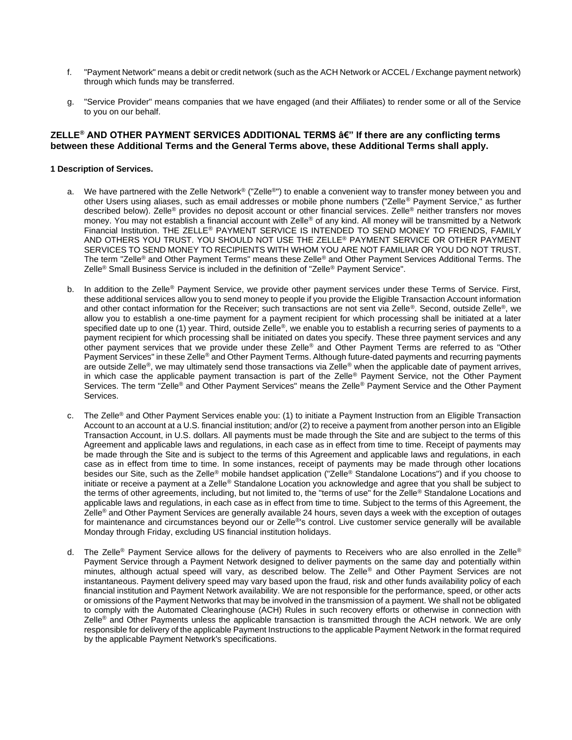- f. "Payment Network" means a debit or credit network (such as the ACH Network or ACCEL / Exchange payment network) through which funds may be transferred.
- g. "Service Provider" means companies that we have engaged (and their Affiliates) to render some or all of the Service to you on our behalf.

### ZELLE<sup>®</sup> AND OTHER PAYMENT SERVICES ADDITIONAL TERMS â€" If there are any conflicting terms **between these Additional Terms and the General Terms above, these Additional Terms shall apply.**

### **1 Description of Services.**

- a. We have partnered with the Zelle Network<sup>®</sup> ("Zelle<sup>®</sup>") to enable a convenient way to transfer money between you and other Users using aliases, such as email addresses or mobile phone numbers ("Zelle® Payment Service," as further described below). Zelle® provides no deposit account or other financial services. Zelle® neither transfers nor moves money. You may not establish a financial account with Zelle® of any kind. All money will be transmitted by a Network Financial Institution. THE ZELLE® PAYMENT SERVICE IS INTENDED TO SEND MONEY TO FRIENDS, FAMILY AND OTHERS YOU TRUST. YOU SHOULD NOT USE THE ZELLE® PAYMENT SERVICE OR OTHER PAYMENT SERVICES TO SEND MONEY TO RECIPIENTS WITH WHOM YOU ARE NOT FAMILIAR OR YOU DO NOT TRUST. The term "Zelle® and Other Payment Terms" means these Zelle® and Other Payment Services Additional Terms. The Zelle® Small Business Service is included in the definition of "Zelle® Payment Service".
- b. In addition to the Zelle<sup>®</sup> Payment Service, we provide other payment services under these Terms of Service. First, these additional services allow you to send money to people if you provide the Eligible Transaction Account information and other contact information for the Receiver; such transactions are not sent via Zelle®. Second, outside Zelle®, we allow you to establish a one-time payment for a payment recipient for which processing shall be initiated at a later specified date up to one (1) year. Third, outside Zelle®, we enable you to establish a recurring series of payments to a payment recipient for which processing shall be initiated on dates you specify. These three payment services and any other payment services that we provide under these Zelle® and Other Payment Terms are referred to as "Other Payment Services" in these Zelle® and Other Payment Terms. Although future-dated payments and recurring payments are outside Zelle®, we may ultimately send those transactions via Zelle® when the applicable date of payment arrives, in which case the applicable payment transaction is part of the Zelle® Payment Service, not the Other Payment Services. The term "Zelle® and Other Payment Services" means the Zelle® Payment Service and the Other Payment Services.
- c. The Zelle® and Other Payment Services enable you: (1) to initiate a Payment Instruction from an Eligible Transaction Account to an account at a U.S. financial institution; and/or (2) to receive a payment from another person into an Eligible Transaction Account, in U.S. dollars. All payments must be made through the Site and are subject to the terms of this Agreement and applicable laws and regulations, in each case as in effect from time to time. Receipt of payments may be made through the Site and is subject to the terms of this Agreement and applicable laws and regulations, in each case as in effect from time to time. In some instances, receipt of payments may be made through other locations besides our Site, such as the Zelle® mobile handset application ("Zelle® Standalone Locations") and if you choose to initiate or receive a payment at a Zelle® Standalone Location you acknowledge and agree that you shall be subject to the terms of other agreements, including, but not limited to, the "terms of use" for the Zelle® Standalone Locations and applicable laws and regulations, in each case as in effect from time to time. Subject to the terms of this Agreement, the Zelle<sup>®</sup> and Other Payment Services are generally available 24 hours, seven days a week with the exception of outages for maintenance and circumstances beyond our or Zelle<sup>®</sup>'s control. Live customer service generally will be available Monday through Friday, excluding US financial institution holidays.
- d. The Zelle<sup>®</sup> Payment Service allows for the delivery of payments to Receivers who are also enrolled in the Zelle<sup>®</sup> Payment Service through a Payment Network designed to deliver payments on the same day and potentially within minutes, although actual speed will vary, as described below. The Zelle® and Other Payment Services are not instantaneous. Payment delivery speed may vary based upon the fraud, risk and other funds availability policy of each financial institution and Payment Network availability. We are not responsible for the performance, speed, or other acts or omissions of the Payment Networks that may be involved in the transmission of a payment. We shall not be obligated to comply with the Automated Clearinghouse (ACH) Rules in such recovery efforts or otherwise in connection with Zelle<sup>®</sup> and Other Payments unless the applicable transaction is transmitted through the ACH network. We are only responsible for delivery of the applicable Payment Instructions to the applicable Payment Network in the format required by the applicable Payment Network's specifications.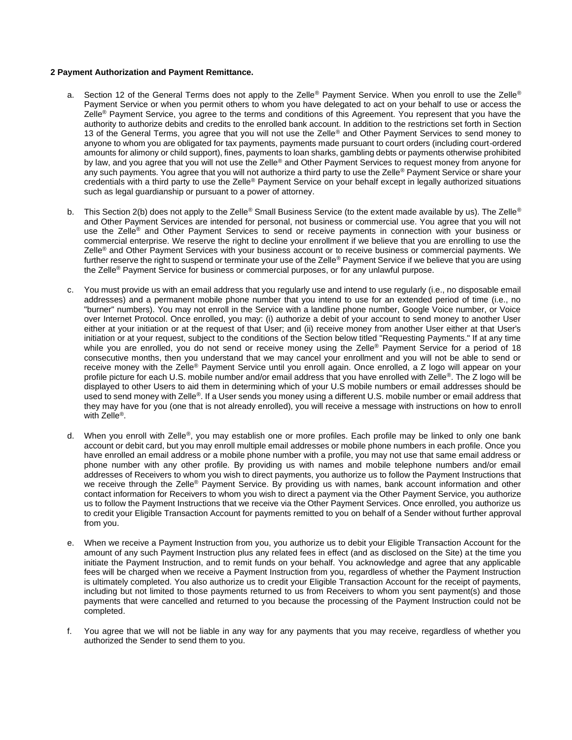### **2 Payment Authorization and Payment Remittance.**

- a. Section 12 of the General Terms does not apply to the Zelle® Payment Service. When you enroll to use the Zelle® Payment Service or when you permit others to whom you have delegated to act on your behalf to use or access the Zelle® Payment Service, you agree to the terms and conditions of this Agreement. You represent that you have the authority to authorize debits and credits to the enrolled bank account. In addition to the restrictions set forth in Section 13 of the General Terms, you agree that you will not use the Zelle® and Other Payment Services to send money to anyone to whom you are obligated for tax payments, payments made pursuant to court orders (including court-ordered amounts for alimony or child support), fines, payments to loan sharks, gambling debts or payments otherwise prohibited by law, and you agree that you will not use the Zelle® and Other Payment Services to request money from anyone for any such payments. You agree that you will not authorize a third party to use the Zelle® Payment Service or share your credentials with a third party to use the Zelle® Payment Service on your behalf except in legally authorized situations such as legal guardianship or pursuant to a power of attorney.
- b. This Section 2(b) does not apply to the Zelle<sup>®</sup> Small Business Service (to the extent made available by us). The Zelle<sup>®</sup> and Other Payment Services are intended for personal, not business or commercial use. You agree that you will not use the Zelle® and Other Payment Services to send or receive payments in connection with your business or commercial enterprise. We reserve the right to decline your enrollment if we believe that you are enrolling to use the Zelle<sup>®</sup> and Other Payment Services with your business account or to receive business or commercial payments. We further reserve the right to suspend or terminate your use of the Zelle<sup>®</sup> Payment Service if we believe that you are using the Zelle<sup>®</sup> Payment Service for business or commercial purposes, or for any unlawful purpose.
- c. You must provide us with an email address that you regularly use and intend to use regularly (i.e., no disposable email addresses) and a permanent mobile phone number that you intend to use for an extended period of time (i.e., no "burner" numbers). You may not enroll in the Service with a landline phone number, Google Voice number, or Voice over Internet Protocol. Once enrolled, you may: (i) authorize a debit of your account to send money to another User either at your initiation or at the request of that User; and (ii) receive money from another User either at that User's initiation or at your request, subject to the conditions of the Section below titled "Requesting Payments." If at any time while you are enrolled, you do not send or receive money using the Zelle<sup>®</sup> Payment Service for a period of 18 consecutive months, then you understand that we may cancel your enrollment and you will not be able to send or receive money with the Zelle® Payment Service until you enroll again. Once enrolled, a Z logo will appear on your profile picture for each U.S. mobile number and/or email address that you have enrolled with Zelle®. The Z logo will be displayed to other Users to aid them in determining which of your U.S mobile numbers or email addresses should be used to send money with Zelle®. If a User sends you money using a different U.S. mobile number or email address that they may have for you (one that is not already enrolled), you will receive a message with instructions on how to enroll with Zelle<sup>®</sup>.
- d. When you enroll with Zelle®, you may establish one or more profiles. Each profile may be linked to only one bank account or debit card, but you may enroll multiple email addresses or mobile phone numbers in each profile. Once you have enrolled an email address or a mobile phone number with a profile, you may not use that same email address or phone number with any other profile. By providing us with names and mobile telephone numbers and/or email addresses of Receivers to whom you wish to direct payments, you authorize us to follow the Payment Instructions that we receive through the Zelle® Payment Service. By providing us with names, bank account information and other contact information for Receivers to whom you wish to direct a payment via the Other Payment Service, you authorize us to follow the Payment Instructions that we receive via the Other Payment Services. Once enrolled, you authorize us to credit your Eligible Transaction Account for payments remitted to you on behalf of a Sender without further approval from you.
- e. When we receive a Payment Instruction from you, you authorize us to debit your Eligible Transaction Account for the amount of any such Payment Instruction plus any related fees in effect (and as disclosed on the Site) at the time you initiate the Payment Instruction, and to remit funds on your behalf. You acknowledge and agree that any applicable fees will be charged when we receive a Payment Instruction from you, regardless of whether the Payment Instruction is ultimately completed. You also authorize us to credit your Eligible Transaction Account for the receipt of payments, including but not limited to those payments returned to us from Receivers to whom you sent payment(s) and those payments that were cancelled and returned to you because the processing of the Payment Instruction could not be completed.
- f. You agree that we will not be liable in any way for any payments that you may receive, regardless of whether you authorized the Sender to send them to you.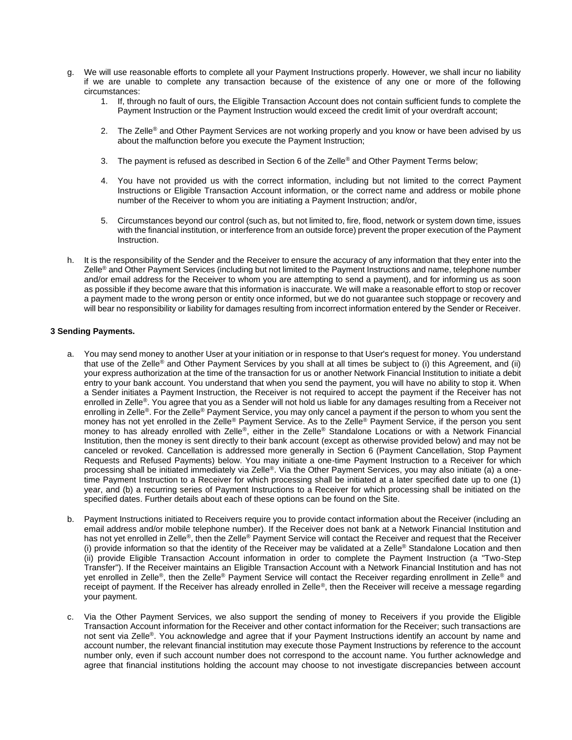- g. We will use reasonable efforts to complete all your Payment Instructions properly. However, we shall incur no liability if we are unable to complete any transaction because of the existence of any one or more of the following circumstances:
	- 1. If, through no fault of ours, the Eligible Transaction Account does not contain sufficient funds to complete the Payment Instruction or the Payment Instruction would exceed the credit limit of your overdraft account;
	- 2. The Zelle<sup>®</sup> and Other Payment Services are not working properly and you know or have been advised by us about the malfunction before you execute the Payment Instruction;
	- 3. The payment is refused as described in Section 6 of the Zelle® and Other Payment Terms below;
	- 4. You have not provided us with the correct information, including but not limited to the correct Payment Instructions or Eligible Transaction Account information, or the correct name and address or mobile phone number of the Receiver to whom you are initiating a Payment Instruction; and/or,
	- 5. Circumstances beyond our control (such as, but not limited to, fire, flood, network or system down time, issues with the financial institution, or interference from an outside force) prevent the proper execution of the Payment Instruction.
- h. It is the responsibility of the Sender and the Receiver to ensure the accuracy of any information that they enter into the Zelle<sup>®</sup> and Other Payment Services (including but not limited to the Payment Instructions and name, telephone number and/or email address for the Receiver to whom you are attempting to send a payment), and for informing us as soon as possible if they become aware that this information is inaccurate. We will make a reasonable effort to stop or recover a payment made to the wrong person or entity once informed, but we do not guarantee such stoppage or recovery and will bear no responsibility or liability for damages resulting from incorrect information entered by the Sender or Receiver.

#### **3 Sending Payments.**

- a. You may send money to another User at your initiation or in response to that User's request for money. You understand that use of the Zelle<sup>®</sup> and Other Payment Services by you shall at all times be subject to (i) this Agreement, and (ii) your express authorization at the time of the transaction for us or another Network Financial Institution to initiate a debit entry to your bank account. You understand that when you send the payment, you will have no ability to stop it. When a Sender initiates a Payment Instruction, the Receiver is not required to accept the payment if the Receiver has not enrolled in Zelle®. You agree that you as a Sender will not hold us liable for any damages resulting from a Receiver not enrolling in Zelle®. For the Zelle® Payment Service, you may only cancel a payment if the person to whom you sent the money has not yet enrolled in the Zelle® Payment Service. As to the Zelle® Payment Service, if the person you sent money to has already enrolled with Zelle®, either in the Zelle® Standalone Locations or with a Network Financial Institution, then the money is sent directly to their bank account (except as otherwise provided below) and may not be canceled or revoked. Cancellation is addressed more generally in Section 6 (Payment Cancellation, Stop Payment Requests and Refused Payments) below. You may initiate a one-time Payment Instruction to a Receiver for which processing shall be initiated immediately via Zelle®. Via the Other Payment Services, you may also initiate (a) a onetime Payment Instruction to a Receiver for which processing shall be initiated at a later specified date up to one (1) year, and (b) a recurring series of Payment Instructions to a Receiver for which processing shall be initiated on the specified dates. Further details about each of these options can be found on the Site.
- b. Payment Instructions initiated to Receivers require you to provide contact information about the Receiver (including an email address and/or mobile telephone number). If the Receiver does not bank at a Network Financial Institution and has not yet enrolled in Zelle®, then the Zelle® Payment Service will contact the Receiver and request that the Receiver (i) provide information so that the identity of the Receiver may be validated at a Zelle® Standalone Location and then (ii) provide Eligible Transaction Account information in order to complete the Payment Instruction (a "Two-Step Transfer"). If the Receiver maintains an Eligible Transaction Account with a Network Financial Institution and has not yet enrolled in Zelle<sup>®</sup>, then the Zelle<sup>®</sup> Payment Service will contact the Receiver regarding enrollment in Zelle<sup>®</sup> and receipt of payment. If the Receiver has already enrolled in Zelle®, then the Receiver will receive a message regarding your payment.
- c. Via the Other Payment Services, we also support the sending of money to Receivers if you provide the Eligible Transaction Account information for the Receiver and other contact information for the Receiver; such transactions are not sent via Zelle®. You acknowledge and agree that if your Payment Instructions identify an account by name and account number, the relevant financial institution may execute those Payment Instructions by reference to the account number only, even if such account number does not correspond to the account name. You further acknowledge and agree that financial institutions holding the account may choose to not investigate discrepancies between account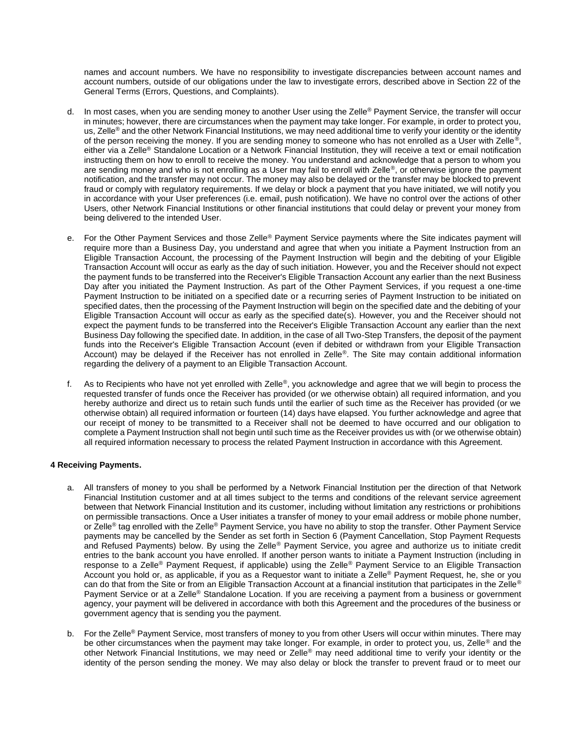names and account numbers. We have no responsibility to investigate discrepancies between account names and account numbers, outside of our obligations under the law to investigate errors, described above in Section 22 of the General Terms (Errors, Questions, and Complaints).

- d. In most cases, when you are sending money to another User using the Zelle® Payment Service, the transfer will occur in minutes; however, there are circumstances when the payment may take longer. For example, in order to protect you, us, Zelle<sup>®</sup> and the other Network Financial Institutions, we may need additional time to verify your identity or the identity of the person receiving the money. If you are sending money to someone who has not enrolled as a User with Zelle®, either via a Zelle® Standalone Location or a Network Financial Institution, they will receive a text or email notification instructing them on how to enroll to receive the money. You understand and acknowledge that a person to whom you are sending money and who is not enrolling as a User may fail to enroll with Zelle®, or otherwise ignore the payment notification, and the transfer may not occur. The money may also be delayed or the transfer may be blocked to prevent fraud or comply with regulatory requirements. If we delay or block a payment that you have initiated, we will notify you in accordance with your User preferences (i.e. email, push notification). We have no control over the actions of other Users, other Network Financial Institutions or other financial institutions that could delay or prevent your money from being delivered to the intended User.
- e. For the Other Payment Services and those Zelle® Payment Service payments where the Site indicates payment will require more than a Business Day, you understand and agree that when you initiate a Payment Instruction from an Eligible Transaction Account, the processing of the Payment Instruction will begin and the debiting of your Eligible Transaction Account will occur as early as the day of such initiation. However, you and the Receiver should not expect the payment funds to be transferred into the Receiver's Eligible Transaction Account any earlier than the next Business Day after you initiated the Payment Instruction. As part of the Other Payment Services, if you request a one-time Payment Instruction to be initiated on a specified date or a recurring series of Payment Instruction to be initiated on specified dates, then the processing of the Payment Instruction will begin on the specified date and the debiting of your Eligible Transaction Account will occur as early as the specified date(s). However, you and the Receiver should not expect the payment funds to be transferred into the Receiver's Eligible Transaction Account any earlier than the next Business Day following the specified date. In addition, in the case of all Two-Step Transfers, the deposit of the payment funds into the Receiver's Eligible Transaction Account (even if debited or withdrawn from your Eligible Transaction Account) may be delayed if the Receiver has not enrolled in Zelle®. The Site may contain additional information regarding the delivery of a payment to an Eligible Transaction Account.
- f. As to Recipients who have not yet enrolled with Zelle®, you acknowledge and agree that we will begin to process the requested transfer of funds once the Receiver has provided (or we otherwise obtain) all required information, and you hereby authorize and direct us to retain such funds until the earlier of such time as the Receiver has provided (or we otherwise obtain) all required information or fourteen (14) days have elapsed. You further acknowledge and agree that our receipt of money to be transmitted to a Receiver shall not be deemed to have occurred and our obligation to complete a Payment Instruction shall not begin until such time as the Receiver provides us with (or we otherwise obtain) all required information necessary to process the related Payment Instruction in accordance with this Agreement.

### **4 Receiving Payments.**

- a. All transfers of money to you shall be performed by a Network Financial Institution per the direction of that Network Financial Institution customer and at all times subject to the terms and conditions of the relevant service agreement between that Network Financial Institution and its customer, including without limitation any restrictions or prohibitions on permissible transactions. Once a User initiates a transfer of money to your email address or mobile phone number, or Zelle<sup>®</sup> tag enrolled with the Zelle<sup>®</sup> Payment Service, you have no ability to stop the transfer. Other Payment Service payments may be cancelled by the Sender as set forth in Section 6 (Payment Cancellation, Stop Payment Requests and Refused Payments) below. By using the Zelle<sup>®</sup> Payment Service, you agree and authorize us to initiate credit entries to the bank account you have enrolled. If another person wants to initiate a Payment Instruction (including in response to a Zelle<sup>®</sup> Payment Request, if applicable) using the Zelle<sup>®</sup> Payment Service to an Eligible Transaction Account you hold or, as applicable, if you as a Requestor want to initiate a Zelle® Payment Request, he, she or you can do that from the Site or from an Eligible Transaction Account at a financial institution that participates in the Zelle® Payment Service or at a Zelle® Standalone Location. If you are receiving a payment from a business or government agency, your payment will be delivered in accordance with both this Agreement and the procedures of the business or government agency that is sending you the payment.
- b. For the Zelle<sup>®</sup> Payment Service, most transfers of money to you from other Users will occur within minutes. There may be other circumstances when the payment may take longer. For example, in order to protect you, us, Zelle<sup>®</sup> and the other Network Financial Institutions, we may need or Zelle® may need additional time to verify your identity or the identity of the person sending the money. We may also delay or block the transfer to prevent fraud or to meet our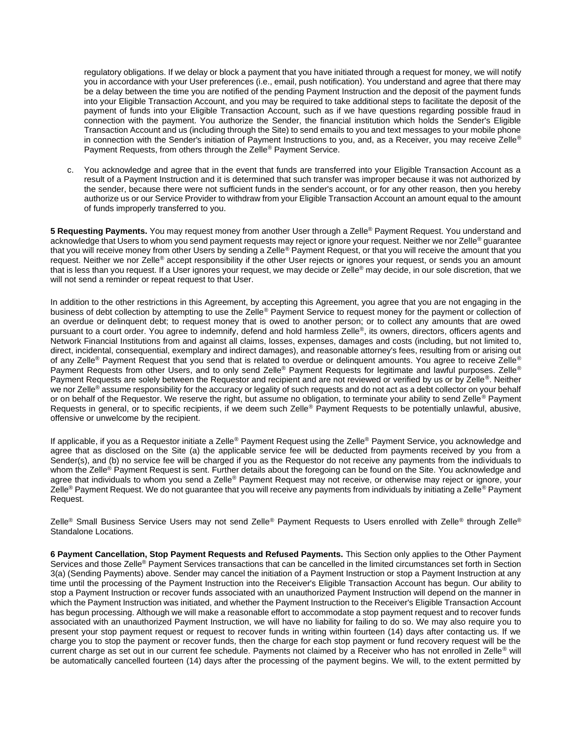regulatory obligations. If we delay or block a payment that you have initiated through a request for money, we will notify you in accordance with your User preferences (i.e., email, push notification). You understand and agree that there may be a delay between the time you are notified of the pending Payment Instruction and the deposit of the payment funds into your Eligible Transaction Account, and you may be required to take additional steps to facilitate the deposit of the payment of funds into your Eligible Transaction Account, such as if we have questions regarding possible fraud in connection with the payment. You authorize the Sender, the financial institution which holds the Sender's Eligible Transaction Account and us (including through the Site) to send emails to you and text messages to your mobile phone in connection with the Sender's initiation of Payment Instructions to you, and, as a Receiver, you may receive Zelle<sup>®</sup> Payment Requests, from others through the Zelle® Payment Service.

c. You acknowledge and agree that in the event that funds are transferred into your Eligible Transaction Account as a result of a Payment Instruction and it is determined that such transfer was improper because it was not authorized by the sender, because there were not sufficient funds in the sender's account, or for any other reason, then you hereby authorize us or our Service Provider to withdraw from your Eligible Transaction Account an amount equal to the amount of funds improperly transferred to you.

**5 Requesting Payments.** You may request money from another User through a Zelle® Payment Request. You understand and acknowledge that Users to whom you send payment requests may reject or ignore your request. Neither we nor Zelle® guarantee that you will receive money from other Users by sending a Zelle® Payment Request, or that you will receive the amount that you request. Neither we nor Zelle® accept responsibility if the other User rejects or ignores your request, or sends you an amount that is less than you request. If a User ignores your request, we may decide or Zelle® may decide, in our sole discretion, that we will not send a reminder or repeat request to that User.

In addition to the other restrictions in this Agreement, by accepting this Agreement, you agree that you are not engaging in the business of debt collection by attempting to use the Zelle® Payment Service to request money for the payment or collection of an overdue or delinquent debt; to request money that is owed to another person; or to collect any amounts that are owed pursuant to a court order. You agree to indemnify, defend and hold harmless Zelle®, its owners, directors, officers agents and Network Financial Institutions from and against all claims, losses, expenses, damages and costs (including, but not limited to, direct, incidental, consequential, exemplary and indirect damages), and reasonable attorney's fees, resulting from or arising out of any Zelle<sup>®</sup> Payment Request that you send that is related to overdue or delinquent amounts. You agree to receive Zelle<sup>®</sup> Payment Requests from other Users, and to only send Zelle® Payment Requests for legitimate and lawful purposes. Zelle® Payment Requests are solely between the Requestor and recipient and are not reviewed or verified by us or by Zelle®. Neither we nor Zelle<sup>®</sup> assume responsibility for the accuracy or legality of such requests and do not act as a debt collector on your behalf or on behalf of the Requestor. We reserve the right, but assume no obligation, to terminate your ability to send Zelle<sup>®</sup> Payment Requests in general, or to specific recipients, if we deem such Zelle® Payment Requests to be potentially unlawful, abusive, offensive or unwelcome by the recipient.

If applicable, if you as a Requestor initiate a Zelle® Payment Request using the Zelle® Payment Service, you acknowledge and agree that as disclosed on the Site (a) the applicable service fee will be deducted from payments received by you from a Sender(s), and (b) no service fee will be charged if you as the Requestor do not receive any payments from the individuals to whom the Zelle<sup>®</sup> Payment Request is sent. Further details about the foregoing can be found on the Site. You acknowledge and agree that individuals to whom you send a Zelle® Payment Request may not receive, or otherwise may reject or ignore, your Zelle<sup>®</sup> Payment Request. We do not guarantee that you will receive any payments from individuals by initiating a Zelle<sup>®</sup> Payment Request.

Zelle<sup>®</sup> Small Business Service Users may not send Zelle<sup>®</sup> Payment Requests to Users enrolled with Zelle® through Zelle<sup>®</sup> Standalone Locations.

**6 Payment Cancellation, Stop Payment Requests and Refused Payments.** This Section only applies to the Other Payment Services and those Zelle® Payment Services transactions that can be cancelled in the limited circumstances set forth in Section 3(a) (Sending Payments) above. Sender may cancel the initiation of a Payment Instruction or stop a Payment Instruction at any time until the processing of the Payment Instruction into the Receiver's Eligible Transaction Account has begun. Our ability to stop a Payment Instruction or recover funds associated with an unauthorized Payment Instruction will depend on the manner in which the Payment Instruction was initiated, and whether the Payment Instruction to the Receiver's Eligible Transaction Account has begun processing. Although we will make a reasonable effort to accommodate a stop payment request and to recover funds associated with an unauthorized Payment Instruction, we will have no liability for failing to do so. We may also require you to present your stop payment request or request to recover funds in writing within fourteen (14) days after contacting us. If we charge you to stop the payment or recover funds, then the charge for each stop payment or fund recovery request will be the current charge as set out in our current fee schedule. Payments not claimed by a Receiver who has not enrolled in Zelle® will be automatically cancelled fourteen (14) days after the processing of the payment begins. We will, to the extent permitted by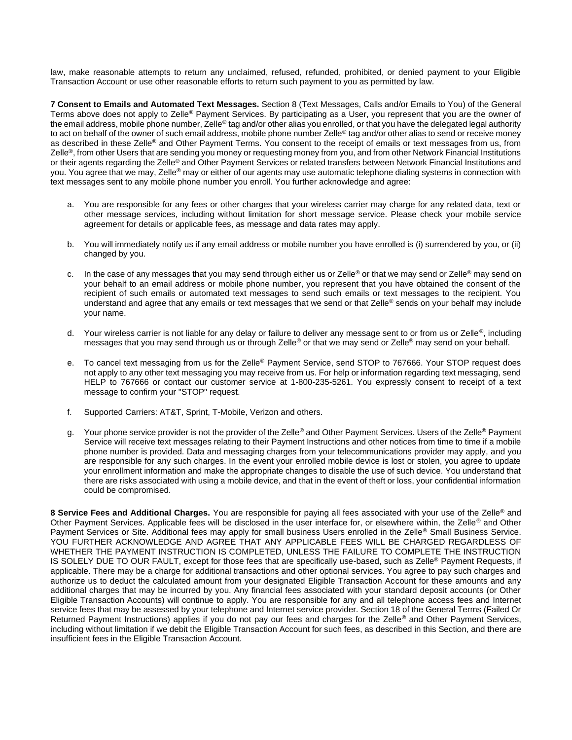law, make reasonable attempts to return any unclaimed, refused, refunded, prohibited, or denied payment to your Eligible Transaction Account or use other reasonable efforts to return such payment to you as permitted by law.

**7 Consent to Emails and Automated Text Messages.** Section 8 (Text Messages, Calls and/or Emails to You) of the General Terms above does not apply to Zelle® Payment Services. By participating as a User, you represent that you are the owner of the email address, mobile phone number, Zelle® tag and/or other alias you enrolled, or that you have the delegated legal authority to act on behalf of the owner of such email address, mobile phone number Zelle® tag and/or other alias to send or receive money as described in these Zelle<sup>®</sup> and Other Payment Terms. You consent to the receipt of emails or text messages from us, from Zelle®, from other Users that are sending you money or requesting money from you, and from other Network Financial Institutions or their agents regarding the Zelle® and Other Payment Services or related transfers between Network Financial Institutions and you. You agree that we may, Zelle<sup>®</sup> may or either of our agents may use automatic telephone dialing systems in connection with text messages sent to any mobile phone number you enroll. You further acknowledge and agree:

- a. You are responsible for any fees or other charges that your wireless carrier may charge for any related data, text or other message services, including without limitation for short message service. Please check your mobile service agreement for details or applicable fees, as message and data rates may apply.
- b. You will immediately notify us if any email address or mobile number you have enrolled is (i) surrendered by you, or (ii) changed by you.
- c. In the case of any messages that you may send through either us or Zelle<sup>®</sup> or that we may send or Zelle<sup>®</sup> may send on your behalf to an email address or mobile phone number, you represent that you have obtained the consent of the recipient of such emails or automated text messages to send such emails or text messages to the recipient. You understand and agree that any emails or text messages that we send or that Zelle® sends on your behalf may include your name.
- d. Your wireless carrier is not liable for any delay or failure to deliver any message sent to or from us or Zelle<sup>®</sup>, including messages that you may send through us or through Zelle® or that we may send or Zelle® may send on your behalf.
- e. To cancel text messaging from us for the Zelle® Payment Service, send STOP to 767666. Your STOP request does not apply to any other text messaging you may receive from us. For help or information regarding text messaging, send HELP to 767666 or contact our customer service at 1-800-235-5261. You expressly consent to receipt of a text message to confirm your "STOP" request.
- f. Supported Carriers: AT&T, Sprint, T-Mobile, Verizon and others.
- g. Your phone service provider is not the provider of the Zelle® and Other Payment Services. Users of the Zelle® Payment Service will receive text messages relating to their Payment Instructions and other notices from time to time if a mobile phone number is provided. Data and messaging charges from your telecommunications provider may apply, and you are responsible for any such charges. In the event your enrolled mobile device is lost or stolen, you agree to update your enrollment information and make the appropriate changes to disable the use of such device. You understand that there are risks associated with using a mobile device, and that in the event of theft or loss, your confidential information could be compromised.

**8 Service Fees and Additional Charges.** You are responsible for paying all fees associated with your use of the Zelle® and Other Payment Services. Applicable fees will be disclosed in the user interface for, or elsewhere within, the Zelle® and Other Payment Services or Site. Additional fees may apply for small business Users enrolled in the Zelle<sup>®</sup> Small Business Service. YOU FURTHER ACKNOWLEDGE AND AGREE THAT ANY APPLICABLE FEES WILL BE CHARGED REGARDLESS OF WHETHER THE PAYMENT INSTRUCTION IS COMPLETED, UNLESS THE FAILURE TO COMPLETE THE INSTRUCTION IS SOLELY DUE TO OUR FAULT, except for those fees that are specifically use-based, such as Zelle® Payment Requests, if applicable. There may be a charge for additional transactions and other optional services. You agree to pay such charges and authorize us to deduct the calculated amount from your designated Eligible Transaction Account for these amounts and any additional charges that may be incurred by you. Any financial fees associated with your standard deposit accounts (or Other Eligible Transaction Accounts) will continue to apply. You are responsible for any and all telephone access fees and Internet service fees that may be assessed by your telephone and Internet service provider. Section 18 of the General Terms (Failed Or Returned Payment Instructions) applies if you do not pay our fees and charges for the Zelle<sup>®</sup> and Other Payment Services, including without limitation if we debit the Eligible Transaction Account for such fees, as described in this Section, and there are insufficient fees in the Eligible Transaction Account.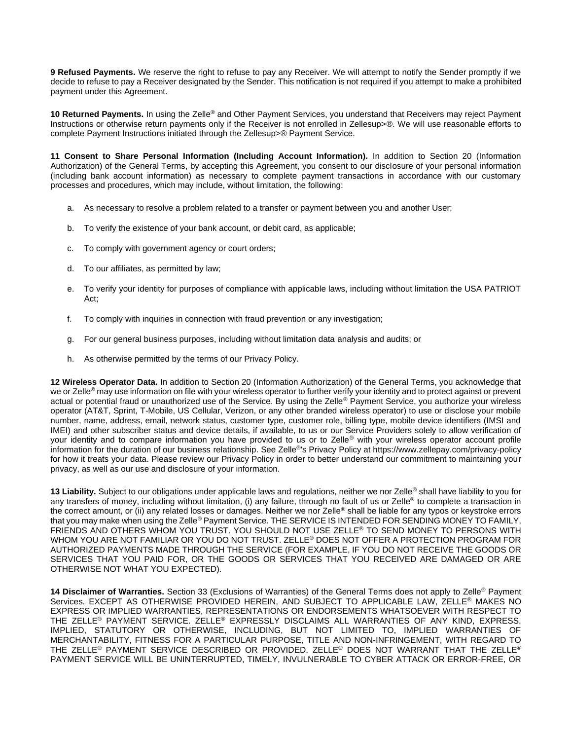**9 Refused Payments.** We reserve the right to refuse to pay any Receiver. We will attempt to notify the Sender promptly if we decide to refuse to pay a Receiver designated by the Sender. This notification is not required if you attempt to make a prohibited payment under this Agreement.

**10 Returned Payments.** In using the Zelle® and Other Payment Services, you understand that Receivers may reject Payment Instructions or otherwise return payments only if the Receiver is not enrolled in Zellesup>®. We will use reasonable efforts to complete Payment Instructions initiated through the Zellesup>® Payment Service.

**11 Consent to Share Personal Information (Including Account Information).** In addition to Section 20 (Information Authorization) of the General Terms, by accepting this Agreement, you consent to our disclosure of your personal information (including bank account information) as necessary to complete payment transactions in accordance with our customary processes and procedures, which may include, without limitation, the following:

- a. As necessary to resolve a problem related to a transfer or payment between you and another User;
- b. To verify the existence of your bank account, or debit card, as applicable;
- c. To comply with government agency or court orders;
- d. To our affiliates, as permitted by law;
- e. To verify your identity for purposes of compliance with applicable laws, including without limitation the USA PATRIOT Act;
- f. To comply with inquiries in connection with fraud prevention or any investigation;
- g. For our general business purposes, including without limitation data analysis and audits; or
- h. As otherwise permitted by the terms of our Privacy Policy.

**12 Wireless Operator Data.** In addition to Section 20 (Information Authorization) of the General Terms, you acknowledge that we or Zelle<sup>®</sup> may use information on file with your wireless operator to further verify your identity and to protect against or prevent actual or potential fraud or unauthorized use of the Service. By using the Zelle® Payment Service, you authorize your wireless operator (AT&T, Sprint, T-Mobile, US Cellular, Verizon, or any other branded wireless operator) to use or disclose your mobile number, name, address, email, network status, customer type, customer role, billing type, mobile device identifiers (IMSI and IMEI) and other subscriber status and device details, if available, to us or our Service Providers solely to allow verification of your identity and to compare information you have provided to us or to Zelle® with your wireless operator account profile information for the duration of our business relationship. See Zelle®'s Privacy Policy at https://www.zellepay.com/privacy-policy for how it treats your data. Please review our Privacy Policy in order to better understand our commitment to maintaining your privacy, as well as our use and disclosure of your information.

**13 Liability.** Subject to our obligations under applicable laws and regulations, neither we nor Zelle® shall have liability to you for any transfers of money, including without limitation, (i) any failure, through no fault of us or Zelle<sup>®</sup> to complete a transaction in the correct amount, or (ii) any related losses or damages. Neither we nor Zelle® shall be liable for any typos or keystroke errors that you may make when using the Zelle® Payment Service. THE SERVICE IS INTENDED FOR SENDING MONEY TO FAMILY, FRIENDS AND OTHERS WHOM YOU TRUST. YOU SHOULD NOT USE ZELLE® TO SEND MONEY TO PERSONS WITH WHOM YOU ARE NOT FAMILIAR OR YOU DO NOT TRUST. ZELLE® DOES NOT OFFER A PROTECTION PROGRAM FOR AUTHORIZED PAYMENTS MADE THROUGH THE SERVICE (FOR EXAMPLE, IF YOU DO NOT RECEIVE THE GOODS OR SERVICES THAT YOU PAID FOR, OR THE GOODS OR SERVICES THAT YOU RECEIVED ARE DAMAGED OR ARE OTHERWISE NOT WHAT YOU EXPECTED).

**14 Disclaimer of Warranties.** Section 33 (Exclusions of Warranties) of the General Terms does not apply to Zelle® Payment Services. EXCEPT AS OTHERWISE PROVIDED HEREIN, AND SUBJECT TO APPLICABLE LAW, ZELLE® MAKES NO EXPRESS OR IMPLIED WARRANTIES, REPRESENTATIONS OR ENDORSEMENTS WHATSOEVER WITH RESPECT TO THE ZELLE® PAYMENT SERVICE. ZELLE® EXPRESSLY DISCLAIMS ALL WARRANTIES OF ANY KIND, EXPRESS, IMPLIED, STATUTORY OR OTHERWISE, INCLUDING, BUT NOT LIMITED TO, IMPLIED WARRANTIES OF MERCHANTABILITY, FITNESS FOR A PARTICULAR PURPOSE, TITLE AND NON-INFRINGEMENT, WITH REGARD TO THE ZELLE® PAYMENT SERVICE DESCRIBED OR PROVIDED. ZELLE® DOES NOT WARRANT THAT THE ZELLE® PAYMENT SERVICE WILL BE UNINTERRUPTED, TIMELY, INVULNERABLE TO CYBER ATTACK OR ERROR-FREE, OR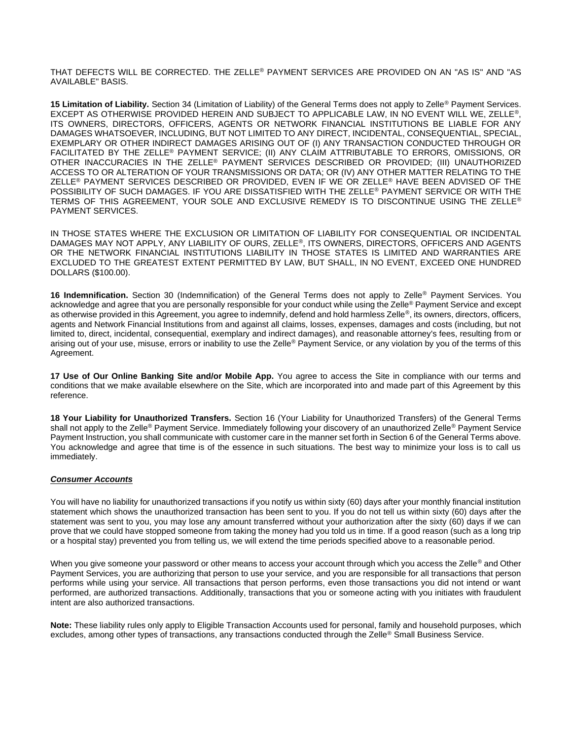THAT DEFECTS WILL BE CORRECTED. THE ZELLE® PAYMENT SERVICES ARE PROVIDED ON AN "AS IS" AND "AS AVAILABLE" BASIS.

**15 Limitation of Liability.** Section 34 (Limitation of Liability) of the General Terms does not apply to Zelle® Payment Services. EXCEPT AS OTHERWISE PROVIDED HEREIN AND SUBJECT TO APPLICABLE LAW, IN NO EVENT WILL WE, ZELLE®, ITS OWNERS, DIRECTORS, OFFICERS, AGENTS OR NETWORK FINANCIAL INSTITUTIONS BE LIABLE FOR ANY DAMAGES WHATSOEVER, INCLUDING, BUT NOT LIMITED TO ANY DIRECT, INCIDENTAL, CONSEQUENTIAL, SPECIAL, EXEMPLARY OR OTHER INDIRECT DAMAGES ARISING OUT OF (I) ANY TRANSACTION CONDUCTED THROUGH OR FACILITATED BY THE ZELLE® PAYMENT SERVICE; (II) ANY CLAIM ATTRIBUTABLE TO ERRORS, OMISSIONS, OR OTHER INACCURACIES IN THE ZELLE® PAYMENT SERVICES DESCRIBED OR PROVIDED; (III) UNAUTHORIZED ACCESS TO OR ALTERATION OF YOUR TRANSMISSIONS OR DATA; OR (IV) ANY OTHER MATTER RELATING TO THE ZELLE® PAYMENT SERVICES DESCRIBED OR PROVIDED, EVEN IF WE OR ZELLE® HAVE BEEN ADVISED OF THE POSSIBILITY OF SUCH DAMAGES. IF YOU ARE DISSATISFIED WITH THE ZELLE® PAYMENT SERVICE OR WITH THE TERMS OF THIS AGREEMENT, YOUR SOLE AND EXCLUSIVE REMEDY IS TO DISCONTINUE USING THE ZELLE® PAYMENT SERVICES.

IN THOSE STATES WHERE THE EXCLUSION OR LIMITATION OF LIABILITY FOR CONSEQUENTIAL OR INCIDENTAL DAMAGES MAY NOT APPLY, ANY LIABILITY OF OURS, ZELLE®, ITS OWNERS, DIRECTORS, OFFICERS AND AGENTS OR THE NETWORK FINANCIAL INSTITUTIONS LIABILITY IN THOSE STATES IS LIMITED AND WARRANTIES ARE EXCLUDED TO THE GREATEST EXTENT PERMITTED BY LAW, BUT SHALL, IN NO EVENT, EXCEED ONE HUNDRED DOLLARS (\$100.00).

**16 Indemnification.** Section 30 (Indemnification) of the General Terms does not apply to Zelle® Payment Services. You acknowledge and agree that you are personally responsible for your conduct while using the Zelle® Payment Service and except as otherwise provided in this Agreement, you agree to indemnify, defend and hold harmless Zelle®, its owners, directors, officers, agents and Network Financial Institutions from and against all claims, losses, expenses, damages and costs (including, but not limited to, direct, incidental, consequential, exemplary and indirect damages), and reasonable attorney's fees, resulting from or arising out of your use, misuse, errors or inability to use the Zelle® Payment Service, or any violation by you of the terms of this Agreement.

**17 Use of Our Online Banking Site and/or Mobile App.** You agree to access the Site in compliance with our terms and conditions that we make available elsewhere on the Site, which are incorporated into and made part of this Agreement by this reference.

**18 Your Liability for Unauthorized Transfers.** Section 16 (Your Liability for Unauthorized Transfers) of the General Terms shall not apply to the Zelle® Payment Service. Immediately following your discovery of an unauthorized Zelle® Payment Service Payment Instruction, you shall communicate with customer care in the manner set forth in Section 6 of the General Terms above. You acknowledge and agree that time is of the essence in such situations. The best way to minimize your loss is to call us immediately.

### *Consumer Accounts*

You will have no liability for unauthorized transactions if you notify us within sixty (60) days after your monthly financial institution statement which shows the unauthorized transaction has been sent to you. If you do not tell us within sixty (60) days after the statement was sent to you, you may lose any amount transferred without your authorization after the sixty (60) days if we can prove that we could have stopped someone from taking the money had you told us in time. If a good reason (such as a long trip or a hospital stay) prevented you from telling us, we will extend the time periods specified above to a reasonable period.

When you give someone your password or other means to access your account through which you access the Zelle® and Other Payment Services, you are authorizing that person to use your service, and you are responsible for all transactions that person performs while using your service. All transactions that person performs, even those transactions you did not intend or want performed, are authorized transactions. Additionally, transactions that you or someone acting with you initiates with fraudulent intent are also authorized transactions.

**Note:** These liability rules only apply to Eligible Transaction Accounts used for personal, family and household purposes, which excludes, among other types of transactions, any transactions conducted through the Zelle® Small Business Service.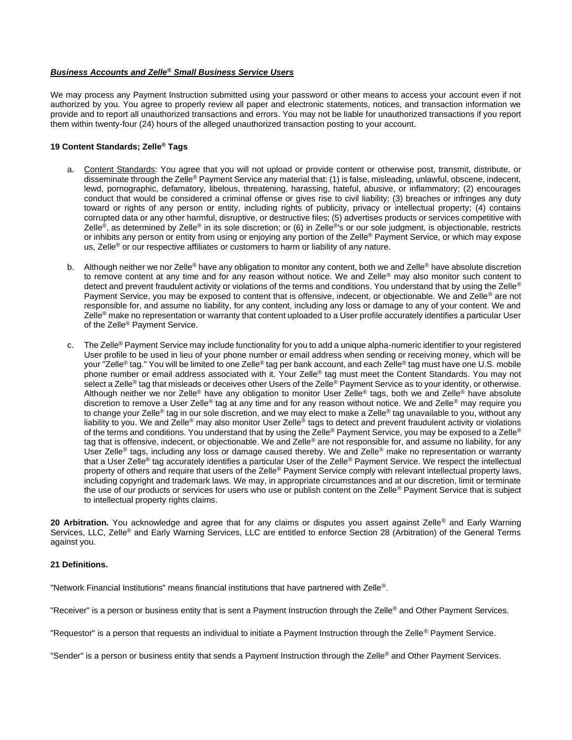### *Business Accounts and Zelle® Small Business Service Users*

We may process any Payment Instruction submitted using your password or other means to access your account even if not authorized by you. You agree to properly review all paper and electronic statements, notices, and transaction information we provide and to report all unauthorized transactions and errors. You may not be liable for unauthorized transactions if you report them within twenty-four (24) hours of the alleged unauthorized transaction posting to your account.

### **19 Content Standards; Zelle® Tags**

- a. Content Standards: You agree that you will not upload or provide content or otherwise post, transmit, distribute, or disseminate through the Zelle® Payment Service any material that: (1) is false, misleading, unlawful, obscene, indecent, lewd, pornographic, defamatory, libelous, threatening, harassing, hateful, abusive, or inflammatory; (2) encourages conduct that would be considered a criminal offense or gives rise to civil liability; (3) breaches or infringes any duty toward or rights of any person or entity, including rights of publicity, privacy or intellectual property; (4) contains corrupted data or any other harmful, disruptive, or destructive files; (5) advertises products or services competitive with Zelle<sup>®</sup>, as determined by Zelle<sup>®</sup> in its sole discretion; or (6) in Zelle<sup>®</sup>'s or our sole judgment, is objectionable, restricts or inhibits any person or entity from using or enjoying any portion of the Zelle® Payment Service, or which may expose us, Zelle® or our respective affiliates or customers to harm or liability of any nature.
- b. Although neither we nor Zelle<sup>®</sup> have any obligation to monitor any content, both we and Zelle<sup>®</sup> have absolute discretion to remove content at any time and for any reason without notice. We and Zelle® may also monitor such content to detect and prevent fraudulent activity or violations of the terms and conditions. You understand that by using the Zelle® Payment Service, you may be exposed to content that is offensive, indecent, or objectionable. We and Zelle® are not responsible for, and assume no liability, for any content, including any loss or damage to any of your content. We and Zelle<sup>®</sup> make no representation or warranty that content uploaded to a User profile accurately identifies a particular User of the Zelle® Payment Service.
- c. The Zelle<sup>®</sup> Payment Service may include functionality for you to add a unique alpha-numeric identifier to your registered User profile to be used in lieu of your phone number or email address when sending or receiving money, which will be your "Zelle® tag." You will be limited to one Zelle® tag per bank account, and each Zelle® tag must have one U.S. mobile phone number or email address associated with it. Your Zelle® tag must meet the Content Standards. You may not select a Zelle<sup>®</sup> tag that misleads or deceives other Users of the Zelle<sup>®</sup> Payment Service as to your identity, or otherwise. Although neither we nor Zelle® have any obligation to monitor User Zelle® tags, both we and Zelle® have absolute discretion to remove a User Zelle<sup>®</sup> tag at any time and for any reason without notice. We and Zelle<sup>®</sup> may require you to change your Zelle<sup>®</sup> tag in our sole discretion, and we may elect to make a Zelle<sup>®</sup> tag unavailable to you, without any liability to you. We and Zelle<sup>®</sup> may also monitor User Zelle<sup>®</sup> tags to detect and prevent fraudulent activity or violations of the terms and conditions. You understand that by using the Zelle® Payment Service, you may be exposed to a Zelle® tag that is offensive, indecent, or objectionable. We and Zelle® are not responsible for, and assume no liability, for any User Zelle<sup>®</sup> tags, including any loss or damage caused thereby. We and Zelle® make no representation or warranty that a User Zelle<sup>®</sup> tag accurately identifies a particular User of the Zelle<sup>®</sup> Payment Service. We respect the intellectual property of others and require that users of the Zelle<sup>®</sup> Payment Service comply with relevant intellectual property laws, including copyright and trademark laws. We may, in appropriate circumstances and at our discretion, limit or terminate the use of our products or services for users who use or publish content on the Zelle® Payment Service that is subject to intellectual property rights claims.

20 Arbitration. You acknowledge and agree that for any claims or disputes you assert against Zelle<sup>®</sup> and Early Warning Services, LLC, Zelle® and Early Warning Services, LLC are entitled to enforce Section 28 (Arbitration) of the General Terms against you.

### **21 Definitions.**

"Network Financial Institutions" means financial institutions that have partnered with Zelle®.

"Receiver" is a person or business entity that is sent a Payment Instruction through the Zelle® and Other Payment Services.

"Requestor" is a person that requests an individual to initiate a Payment Instruction through the Zelle® Payment Service.

"Sender" is a person or business entity that sends a Payment Instruction through the Zelle® and Other Payment Services.